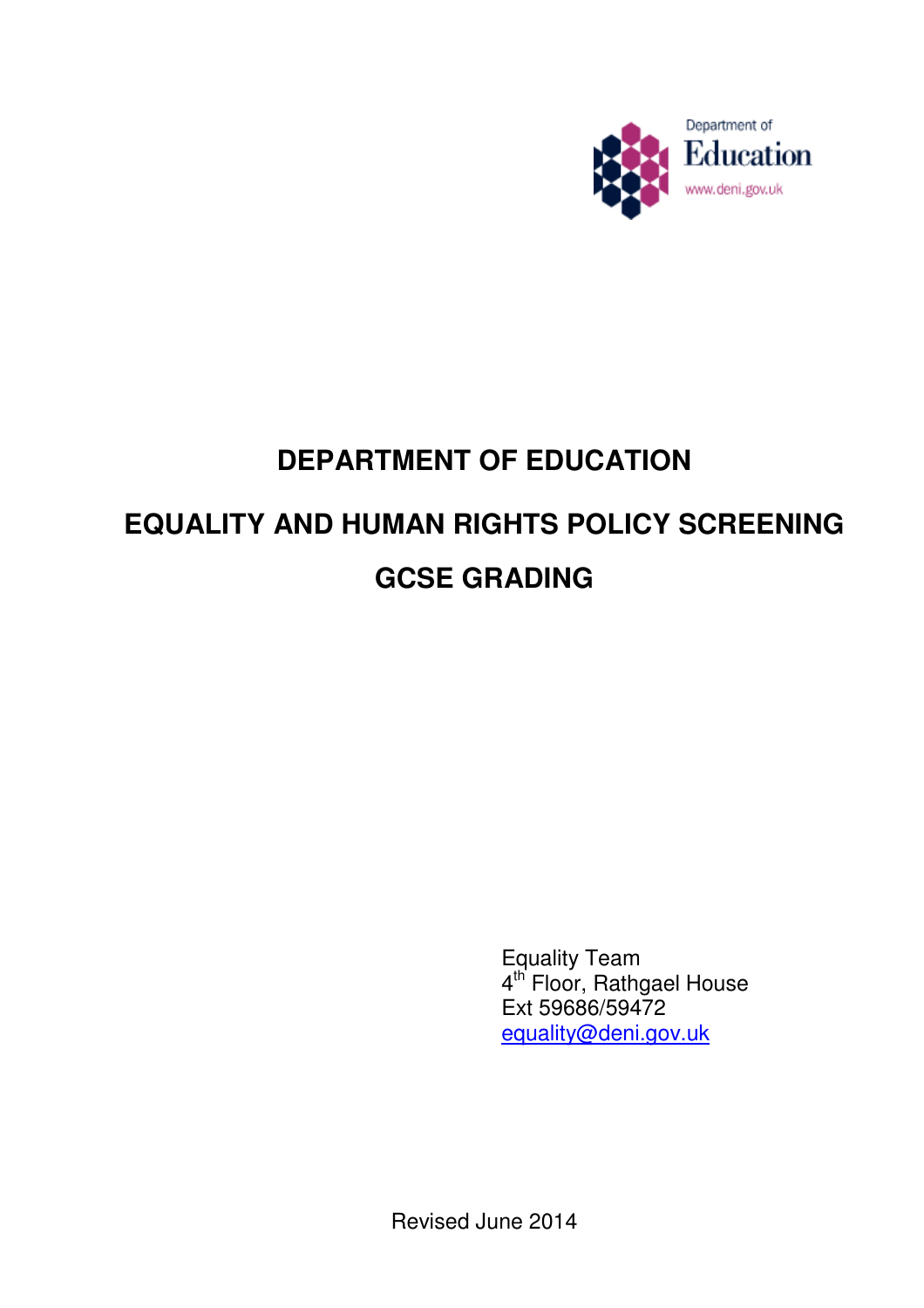

## **DEPARTMENT OF EDUCATION**

# **EQUALITY AND HUMAN RIGHTS POLICY SCREENING GCSE GRADING**

 Equality Team 4<sup>th</sup> Floor, Rathgael House Ext 59686/59472 equality@deni.gov.uk

Revised June 2014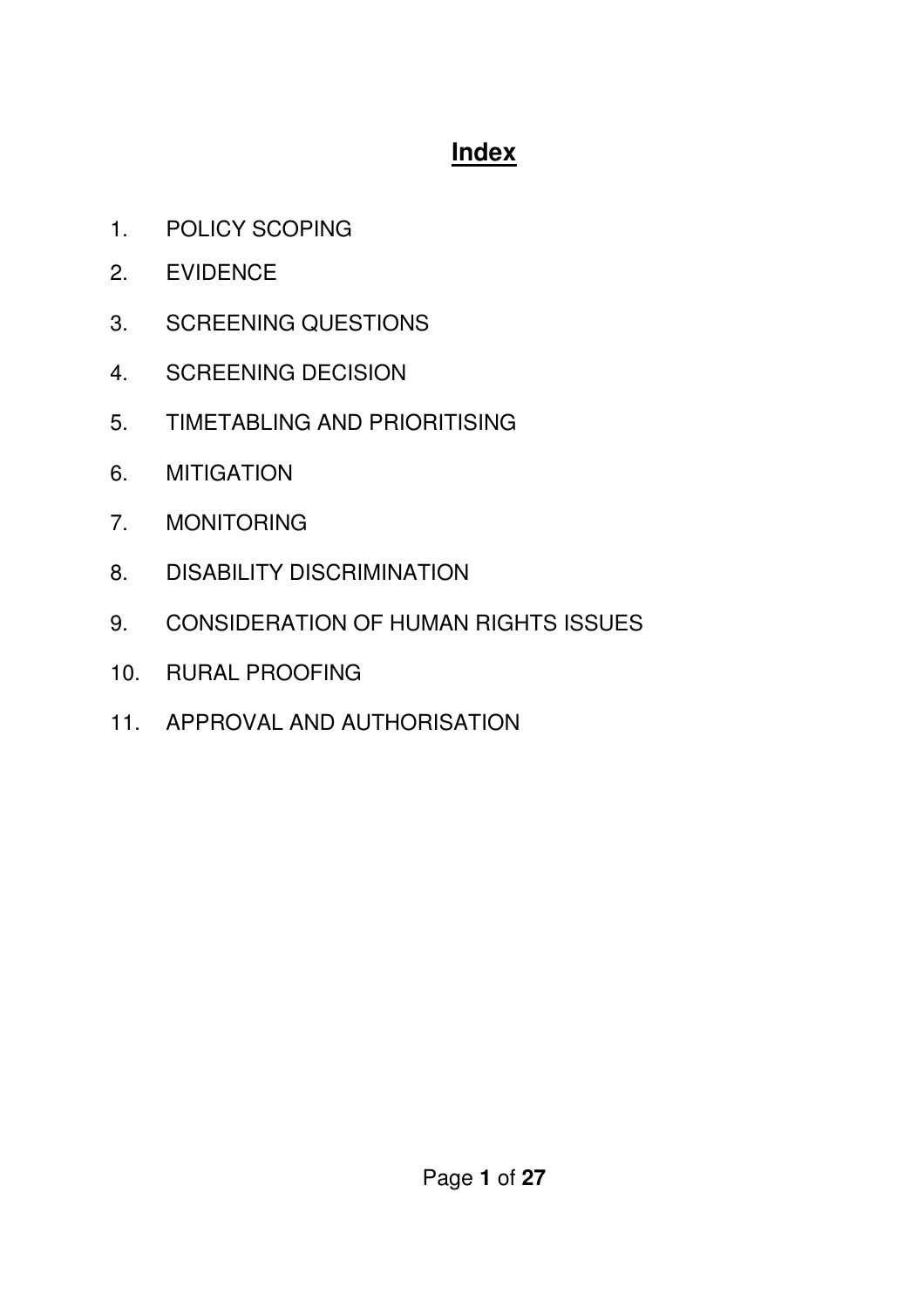## **Index**

- 1. POLICY SCOPING
- 2 . EVIDENCE
- 3 . SCREENING QUESTIONS
- 4 . SCREENING DECISION
- 5 . TIMETABLING AND PRIORITISING
- 6. MITIGATION
- 6. MITIGATION<br>7. MONITORING
- 8 . DISABILITY DISCRIMINATION
- 9 . CONSIDERATION OF HUMAN RIGHTS ISSUES
- 10. RURAL PROOFING
- 11. APPROVAL AND AUTHORISATION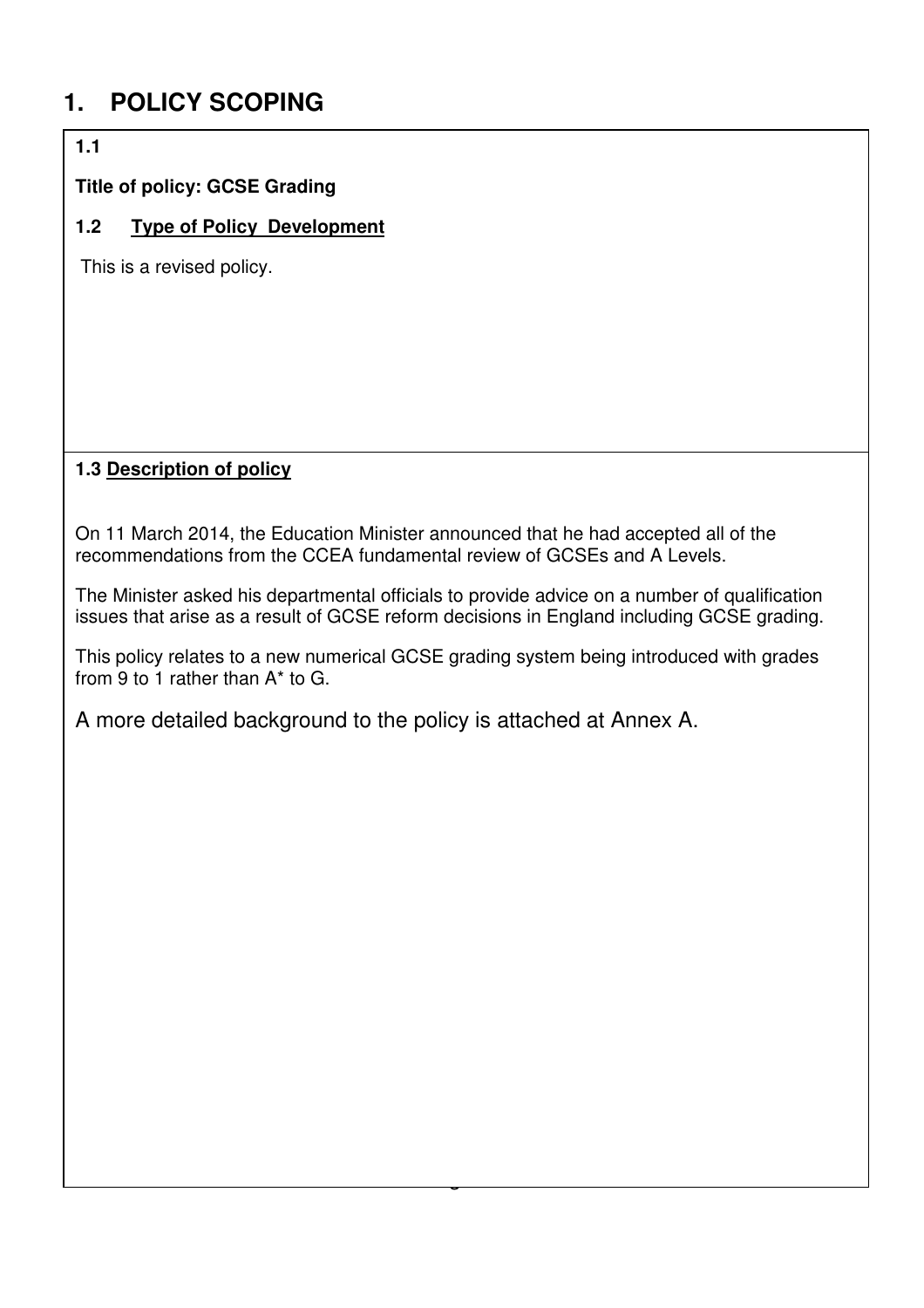#### $\mathbf 1$ . **1. POLICY SCOPING**

### **1.1**

#### **Title of policy: GCSE Grading**

#### $1.2$ **1.2 Type of Policy Development**

This is a revised policy.

#### **1.3 Description of policy**

 On 11 March 2014, the Education Minister announced that he had accepted all of the recommendations from the CCEA fundamental review of GCSEs and A Levels.

 The Minister asked his departmental officials to provide advice on a number of qualification issues that arise as a result of GCSE reform decisions in England including GCSE grading.

 This policy relates to a new numerical GCSE grading system being introduced with grades from 9 to 1 rather than A\* to G.

Pa e g **2** of **27**

A more detailed background to the policy is attached at Annex A.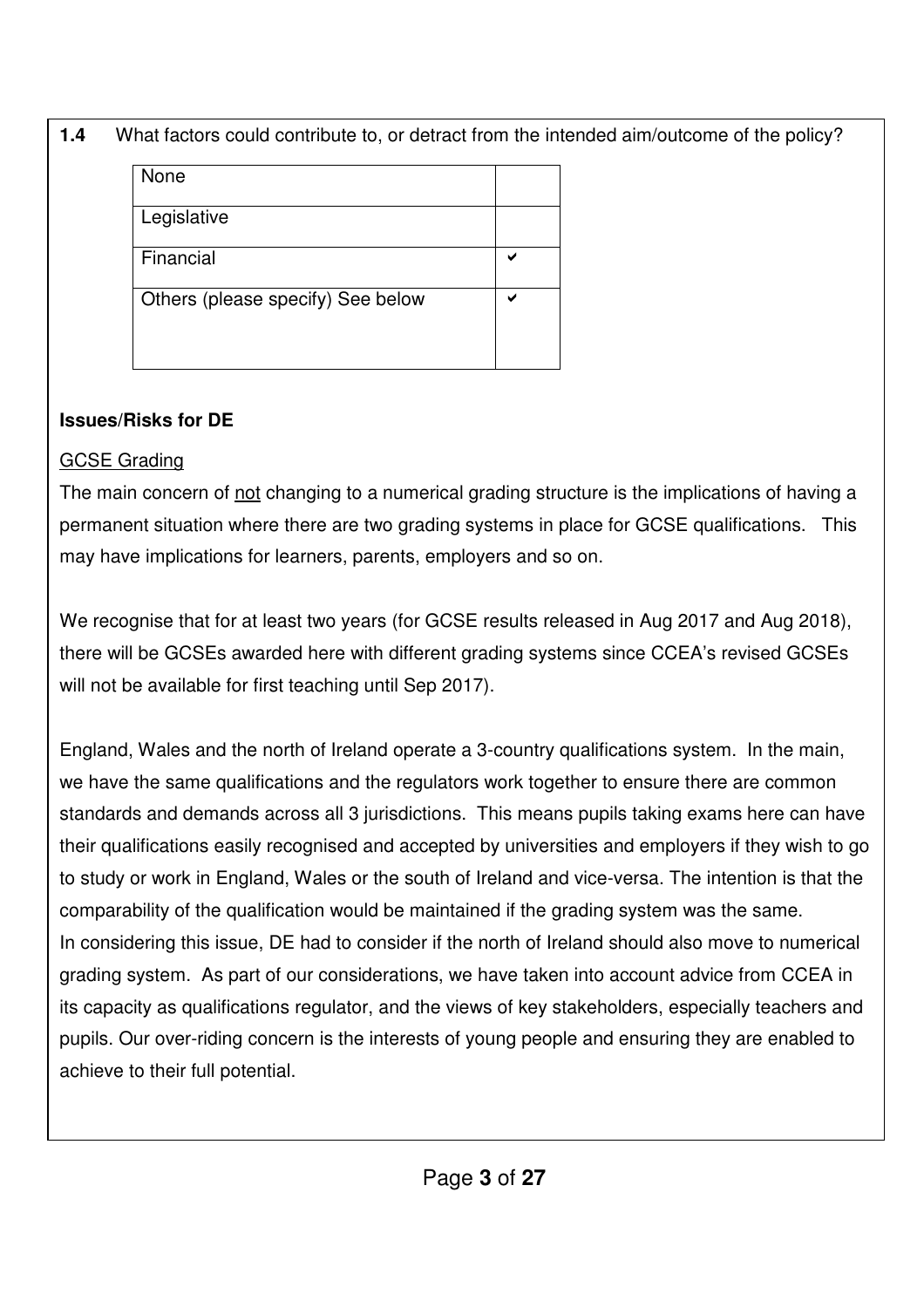$1.4$ **1.4** What factors could contribute to, or detract from the intended aim/outcome of the policy?

| None                              |  |
|-----------------------------------|--|
|                                   |  |
|                                   |  |
| Legislative                       |  |
|                                   |  |
|                                   |  |
| Financial                         |  |
|                                   |  |
|                                   |  |
|                                   |  |
| Others (please specify) See below |  |
|                                   |  |
|                                   |  |
|                                   |  |
|                                   |  |

### **Issues/Risks for DE**

### GCSE Grading

The main concern of not changing to a numerical grading structure is the implications of having a permanent situation where there are two grading systems in place for GCSE qualifications. This may have implications for learners, parents, employers and so on.

 We recognise that for at least two years (for GCSE results released in Aug 2017 and Aug 2018), there will be GCSEs awarded here with different grading systems since CCEA's revised GCSEs will not be available for first teaching until Sep 2017).

 England, Wales and the north of Ireland operate a 3-country qualifications system. In the main, we have the same qualifications and the regulators work together to ensure there are common standards and demands across all 3 jurisdictions. This means pupils taking exams here can have their qualifications easily recognised and accepted by universities and employers if they wish to go to study or work in England, Wales or the south of Ireland and vice-versa. The intention is that the comparability of the qualification would be maintained if the grading system was the same. In considering this issue, DE had to consider if the north of Ireland should also move to numerical grading system. As part of our considerations, we have taken into account advice from CCEA in its capacity as qualifications regulator, and the views of key stakeholders, especially teachers and pupils. Our over-riding concern is the interests of young people and ensuring they are enabled to achieve to their full potential.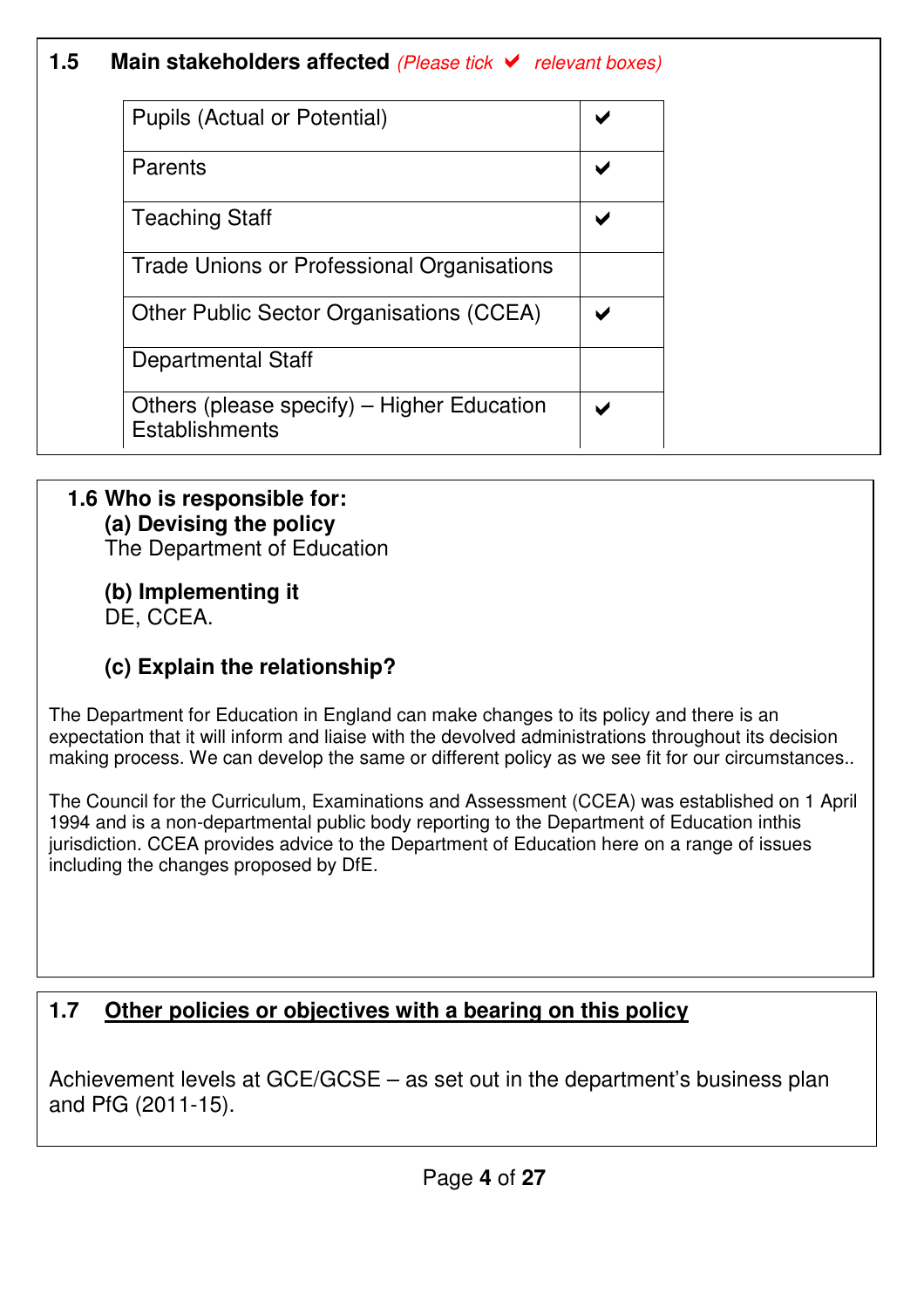#### $1.5$ **Main stakeholders affected** *(Please tick*  $\vee$  relevant boxes)

| <b>Pupils (Actual or Potential)</b>                                 |  |
|---------------------------------------------------------------------|--|
| Parents                                                             |  |
| <b>Teaching Staff</b>                                               |  |
| <b>Trade Unions or Professional Organisations</b>                   |  |
| <b>Other Public Sector Organisations (CCEA)</b>                     |  |
| Departmental Staff                                                  |  |
| Others (please specify) – Higher Education<br><b>Establishments</b> |  |

### **1.6 Who is responsible for: (a) Devising the policy**  The Department of Education

 **(b) Implementing it**  DE, CCEA.

## **(c) Explain the relationship?**

 The Department for Education in England can make changes to its policy and there is an expectation that it will inform and liaise with the devolved administrations throughout its decision making process. We can develop the same or different policy as we see fit for our circumstances..

 The Council for the Curriculum, Examinations and Assessment (CCEA) was established on 1 April 1994 and is a non-departmental public body reporting to the Department of Education inthis jurisdiction. CCEA provides advice to the Department of Education here on a range of issues including the changes proposed by DfE.

#### $1.7$ **1.7 Other policies or objectives with a bearing on this policy**

 Achievement levels at GCE/GCSE – as set out in the department's business plan and PfG (2011-15).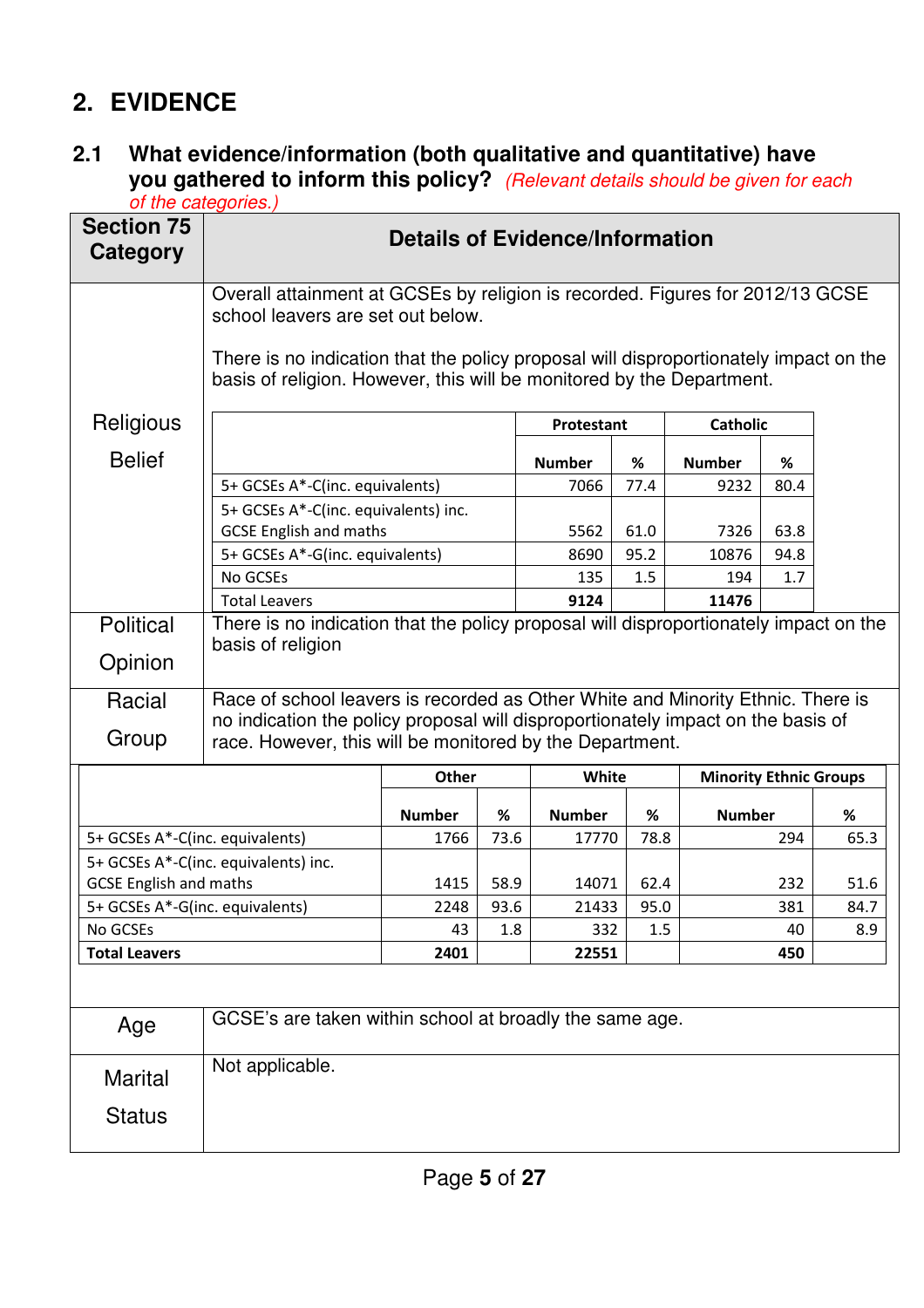## **2. EVIDENCE**

#### $2.1$ **2.1 What evidence/information (both qualitative and quantitative) have you gathered to inform this policy?** (Relevant details should be given for each

|                                      | of the categories.)                                                                                                                                                                                                                                                                  |               |      |               |             |                               |             |      |  |
|--------------------------------------|--------------------------------------------------------------------------------------------------------------------------------------------------------------------------------------------------------------------------------------------------------------------------------------|---------------|------|---------------|-------------|-------------------------------|-------------|------|--|
| <b>Section 75</b><br><b>Category</b> | <b>Details of Evidence/Information</b>                                                                                                                                                                                                                                               |               |      |               |             |                               |             |      |  |
|                                      | Overall attainment at GCSEs by religion is recorded. Figures for 2012/13 GCSE<br>school leavers are set out below.<br>There is no indication that the policy proposal will disproportionately impact on the<br>basis of religion. However, this will be monitored by the Department. |               |      |               |             |                               |             |      |  |
| Religious                            |                                                                                                                                                                                                                                                                                      |               |      | Protestant    |             | <b>Catholic</b>               |             |      |  |
| <b>Belief</b>                        |                                                                                                                                                                                                                                                                                      |               |      | <b>Number</b> | %           | <b>Number</b>                 | %           |      |  |
|                                      | 5+ GCSEs A*-C(inc. equivalents)                                                                                                                                                                                                                                                      |               |      | 7066          | 77.4        | 9232                          | 80.4        |      |  |
|                                      | 5+ GCSEs A*-C(inc. equivalents) inc.                                                                                                                                                                                                                                                 |               |      |               |             |                               |             |      |  |
|                                      | <b>GCSE English and maths</b>                                                                                                                                                                                                                                                        |               |      | 5562          | 61.0        | 7326                          | 63.8        |      |  |
|                                      | 5+ GCSEs A*-G(inc. equivalents)<br>No GCSEs                                                                                                                                                                                                                                          |               |      | 8690<br>135   | 95.2<br>1.5 | 10876<br>194                  | 94.8<br>1.7 |      |  |
|                                      | <b>Total Leavers</b>                                                                                                                                                                                                                                                                 |               |      | 9124          |             | 11476                         |             |      |  |
| <b>Political</b>                     | There is no indication that the policy proposal will disproportionately impact on the                                                                                                                                                                                                |               |      |               |             |                               |             |      |  |
|                                      | basis of religion                                                                                                                                                                                                                                                                    |               |      |               |             |                               |             |      |  |
| Opinion                              |                                                                                                                                                                                                                                                                                      |               |      |               |             |                               |             |      |  |
| Racial                               | Race of school leavers is recorded as Other White and Minority Ethnic. There is                                                                                                                                                                                                      |               |      |               |             |                               |             |      |  |
| Group                                | no indication the policy proposal will disproportionately impact on the basis of<br>race. However, this will be monitored by the Department.                                                                                                                                         |               |      |               |             |                               |             |      |  |
|                                      |                                                                                                                                                                                                                                                                                      | Other         |      | White         |             | <b>Minority Ethnic Groups</b> |             |      |  |
|                                      |                                                                                                                                                                                                                                                                                      | <b>Number</b> | %    | <b>Number</b> | %           | <b>Number</b>                 |             | %    |  |
| 5+ GCSEs A*-C(inc. equivalents)      |                                                                                                                                                                                                                                                                                      | 1766          | 73.6 | 17770         | 78.8        |                               | 294         | 65.3 |  |
|                                      | 5+ GCSEs A*-C(inc. equivalents) inc.                                                                                                                                                                                                                                                 |               |      |               |             |                               |             |      |  |
| <b>GCSE English and maths</b>        |                                                                                                                                                                                                                                                                                      | 1415          | 58.9 | 14071         | 62.4        |                               | 232         | 51.6 |  |
| 5+ GCSEs A*-G(inc. equivalents)      |                                                                                                                                                                                                                                                                                      | 2248          | 93.6 | 21433         | 95.0        |                               | 381         | 84.7 |  |
| No GCSEs<br><b>Total Leavers</b>     |                                                                                                                                                                                                                                                                                      | 43<br>2401    | 1.8  | 332<br>22551  | 1.5         |                               | 40<br>450   | 8.9  |  |
|                                      |                                                                                                                                                                                                                                                                                      |               |      |               |             |                               |             |      |  |
| Age                                  | GCSE's are taken within school at broadly the same age.                                                                                                                                                                                                                              |               |      |               |             |                               |             |      |  |
| Marital                              | Not applicable.                                                                                                                                                                                                                                                                      |               |      |               |             |                               |             |      |  |
| <b>Status</b>                        |                                                                                                                                                                                                                                                                                      |               |      |               |             |                               |             |      |  |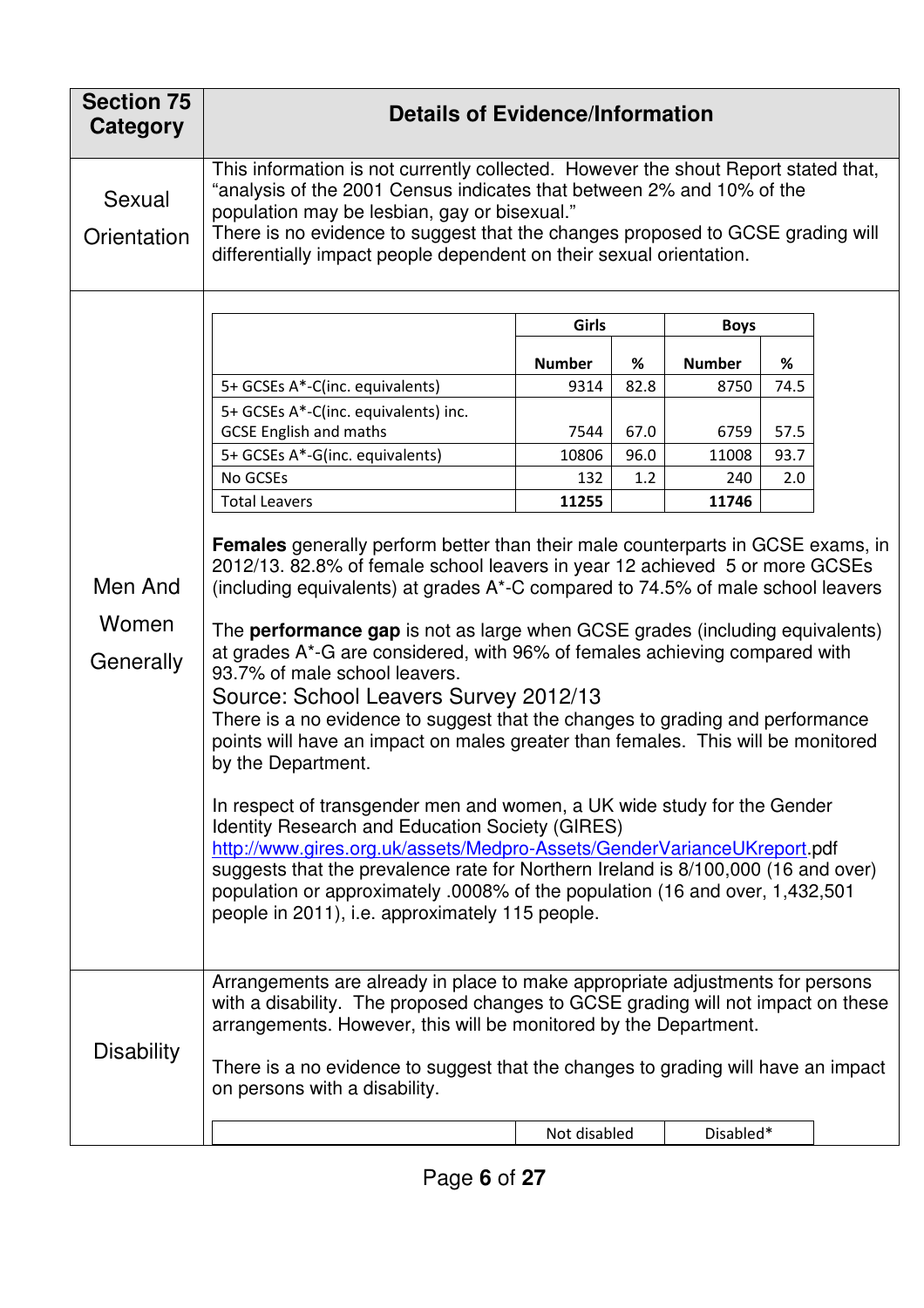| <b>Section 75</b><br>Category | <b>Details of Evidence/Information</b>                                                                                                                                                                                                                                                                                                                                                                                                                                                                                                                                                                                                                                                                                                                                                                                                                                                                                                                                                                                                                                                                                              |               |      |               |      |  |  |  |  |  |
|-------------------------------|-------------------------------------------------------------------------------------------------------------------------------------------------------------------------------------------------------------------------------------------------------------------------------------------------------------------------------------------------------------------------------------------------------------------------------------------------------------------------------------------------------------------------------------------------------------------------------------------------------------------------------------------------------------------------------------------------------------------------------------------------------------------------------------------------------------------------------------------------------------------------------------------------------------------------------------------------------------------------------------------------------------------------------------------------------------------------------------------------------------------------------------|---------------|------|---------------|------|--|--|--|--|--|
| Sexual<br>Orientation         | This information is not currently collected. However the shout Report stated that,<br>"analysis of the 2001 Census indicates that between 2% and 10% of the<br>population may be lesbian, gay or bisexual."<br>There is no evidence to suggest that the changes proposed to GCSE grading will<br>differentially impact people dependent on their sexual orientation.                                                                                                                                                                                                                                                                                                                                                                                                                                                                                                                                                                                                                                                                                                                                                                |               |      |               |      |  |  |  |  |  |
|                               |                                                                                                                                                                                                                                                                                                                                                                                                                                                                                                                                                                                                                                                                                                                                                                                                                                                                                                                                                                                                                                                                                                                                     | Girls         |      | <b>Boys</b>   |      |  |  |  |  |  |
|                               |                                                                                                                                                                                                                                                                                                                                                                                                                                                                                                                                                                                                                                                                                                                                                                                                                                                                                                                                                                                                                                                                                                                                     | <b>Number</b> | %    | <b>Number</b> | %    |  |  |  |  |  |
|                               | 5+ GCSEs A*-C(inc. equivalents)                                                                                                                                                                                                                                                                                                                                                                                                                                                                                                                                                                                                                                                                                                                                                                                                                                                                                                                                                                                                                                                                                                     | 9314          | 82.8 | 8750          | 74.5 |  |  |  |  |  |
|                               | 5+ GCSEs A*-C(inc. equivalents) inc.<br><b>GCSE English and maths</b>                                                                                                                                                                                                                                                                                                                                                                                                                                                                                                                                                                                                                                                                                                                                                                                                                                                                                                                                                                                                                                                               | 7544          | 67.0 | 6759          | 57.5 |  |  |  |  |  |
|                               | 5+ GCSEs A*-G(inc. equivalents)                                                                                                                                                                                                                                                                                                                                                                                                                                                                                                                                                                                                                                                                                                                                                                                                                                                                                                                                                                                                                                                                                                     | 10806         | 96.0 | 11008         | 93.7 |  |  |  |  |  |
|                               | No GCSEs                                                                                                                                                                                                                                                                                                                                                                                                                                                                                                                                                                                                                                                                                                                                                                                                                                                                                                                                                                                                                                                                                                                            | 132           | 1.2  | 240           | 2.0  |  |  |  |  |  |
|                               | <b>Total Leavers</b>                                                                                                                                                                                                                                                                                                                                                                                                                                                                                                                                                                                                                                                                                                                                                                                                                                                                                                                                                                                                                                                                                                                | 11255         |      | 11746         |      |  |  |  |  |  |
| Men And<br>Women<br>Generally | <b>Females</b> generally perform better than their male counterparts in GCSE exams, in<br>2012/13. 82.8% of female school leavers in year 12 achieved 5 or more GCSEs<br>(including equivalents) at grades A*-C compared to 74.5% of male school leavers<br>The <b>performance gap</b> is not as large when GCSE grades (including equivalents)<br>at grades A*-G are considered, with 96% of females achieving compared with<br>93.7% of male school leavers.<br>Source: School Leavers Survey 2012/13<br>There is a no evidence to suggest that the changes to grading and performance<br>points will have an impact on males greater than females. This will be monitored<br>by the Department.<br>In respect of transgender men and women, a UK wide study for the Gender<br>Identity Research and Education Society (GIRES)<br>http://www.gires.org.uk/assets/Medpro-Assets/GenderVarianceUKreport.pdf<br>suggests that the prevalence rate for Northern Ireland is 8/100,000 (16 and over)<br>population or approximately .0008% of the population (16 and over, 1,432,501<br>people in 2011), i.e. approximately 115 people. |               |      |               |      |  |  |  |  |  |
| <b>Disability</b>             | Arrangements are already in place to make appropriate adjustments for persons<br>with a disability. The proposed changes to GCSE grading will not impact on these<br>arrangements. However, this will be monitored by the Department.<br>There is a no evidence to suggest that the changes to grading will have an impact<br>on persons with a disability.                                                                                                                                                                                                                                                                                                                                                                                                                                                                                                                                                                                                                                                                                                                                                                         |               |      |               |      |  |  |  |  |  |
|                               |                                                                                                                                                                                                                                                                                                                                                                                                                                                                                                                                                                                                                                                                                                                                                                                                                                                                                                                                                                                                                                                                                                                                     | Not disabled  |      | Disabled*     |      |  |  |  |  |  |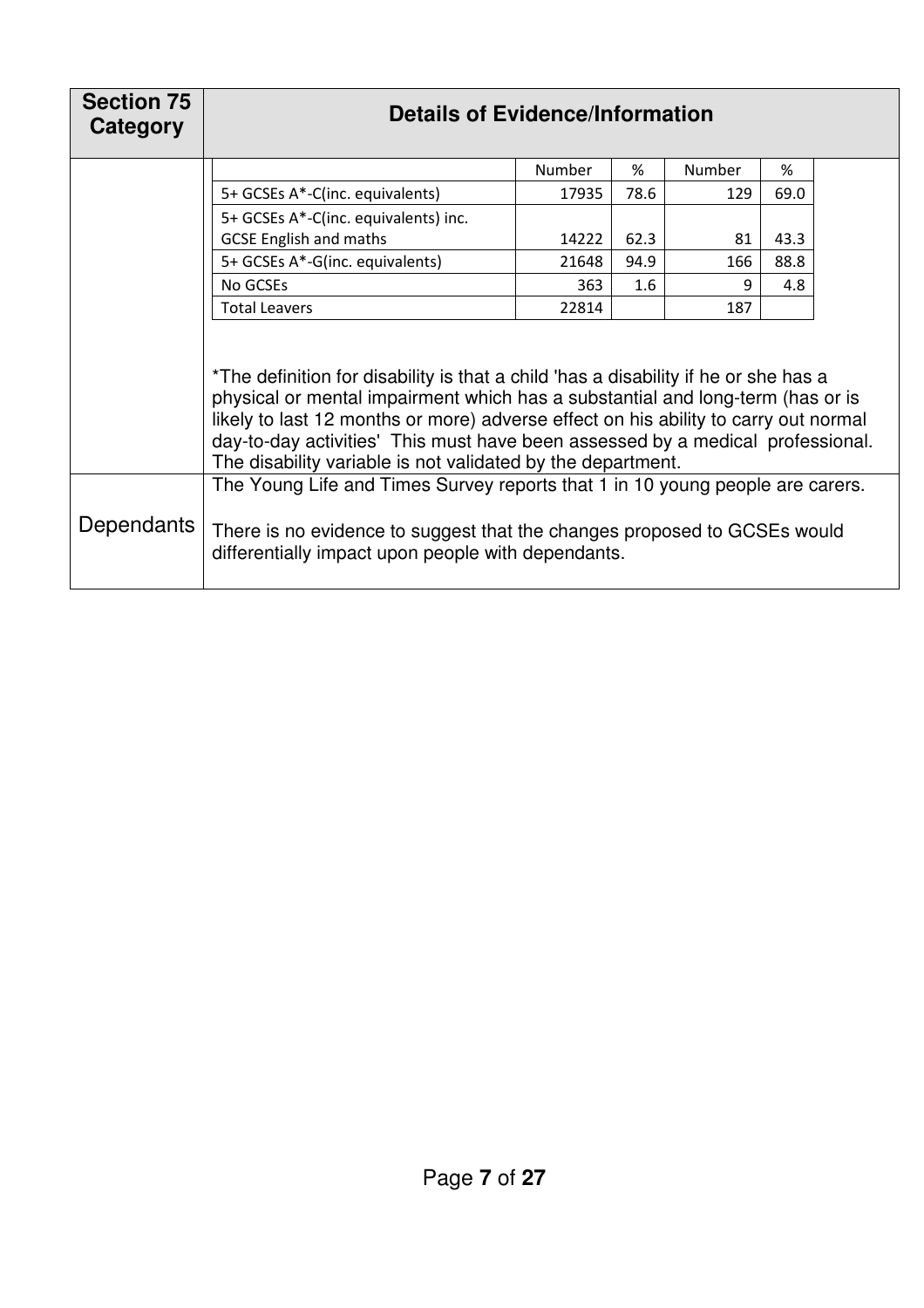| <b>Section 75</b><br>Category | <b>Details of Evidence/Information</b>                                                                                                                                                                                                                                                                                                                                                                        |       |      |     |      |  |  |  |  |  |  |
|-------------------------------|---------------------------------------------------------------------------------------------------------------------------------------------------------------------------------------------------------------------------------------------------------------------------------------------------------------------------------------------------------------------------------------------------------------|-------|------|-----|------|--|--|--|--|--|--|
|                               | Number<br>Number<br>%<br>%                                                                                                                                                                                                                                                                                                                                                                                    |       |      |     |      |  |  |  |  |  |  |
|                               | 5+ GCSEs A*-C(inc. equivalents)                                                                                                                                                                                                                                                                                                                                                                               | 17935 | 78.6 | 129 | 69.0 |  |  |  |  |  |  |
|                               | 5+ GCSEs A*-C(inc. equivalents) inc.                                                                                                                                                                                                                                                                                                                                                                          |       |      |     |      |  |  |  |  |  |  |
|                               | <b>GCSE English and maths</b>                                                                                                                                                                                                                                                                                                                                                                                 | 14222 | 62.3 | 81  | 43.3 |  |  |  |  |  |  |
|                               | 5+ GCSEs A*-G(inc. equivalents)                                                                                                                                                                                                                                                                                                                                                                               | 21648 | 94.9 | 166 | 88.8 |  |  |  |  |  |  |
|                               | No GCSEs                                                                                                                                                                                                                                                                                                                                                                                                      | 363   | 1.6  | 9   | 4.8  |  |  |  |  |  |  |
|                               | <b>Total Leavers</b><br>22814<br>187                                                                                                                                                                                                                                                                                                                                                                          |       |      |     |      |  |  |  |  |  |  |
|                               | *The definition for disability is that a child 'has a disability if he or she has a<br>physical or mental impairment which has a substantial and long-term (has or is<br>likely to last 12 months or more) adverse effect on his ability to carry out normal<br>day-to-day activities' This must have been assessed by a medical professional.<br>The disability variable is not validated by the department. |       |      |     |      |  |  |  |  |  |  |
| Dependants                    | The Young Life and Times Survey reports that 1 in 10 young people are carers.<br>There is no evidence to suggest that the changes proposed to GCSEs would<br>differentially impact upon people with dependants.                                                                                                                                                                                               |       |      |     |      |  |  |  |  |  |  |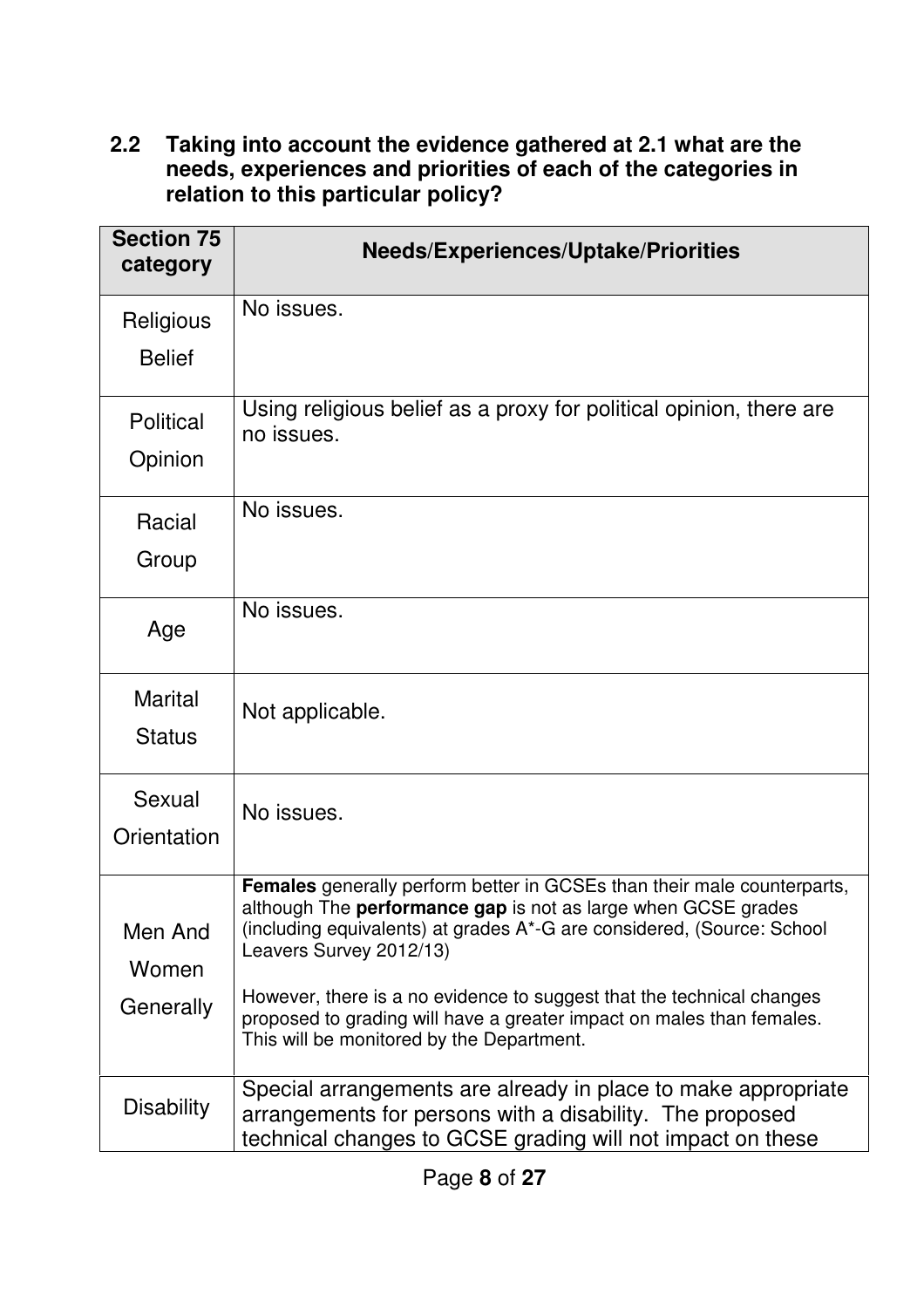**relation to this particular policy? 2.2 Taking into account the evidence gathered at 2.1 what are the needs, experiences and priorities of each of the categories in** 

| <b>Section 75</b><br>category | <b>Needs/Experiences/Uptake/Priorities</b>                                                                                                                                                                                                                                                                                                                                                                                                          |
|-------------------------------|-----------------------------------------------------------------------------------------------------------------------------------------------------------------------------------------------------------------------------------------------------------------------------------------------------------------------------------------------------------------------------------------------------------------------------------------------------|
| Religious<br><b>Belief</b>    | No issues.                                                                                                                                                                                                                                                                                                                                                                                                                                          |
| <b>Political</b><br>Opinion   | Using religious belief as a proxy for political opinion, there are<br>no issues.                                                                                                                                                                                                                                                                                                                                                                    |
| Racial<br>Group               | No issues.                                                                                                                                                                                                                                                                                                                                                                                                                                          |
| Age                           | No issues.                                                                                                                                                                                                                                                                                                                                                                                                                                          |
| Marital<br><b>Status</b>      | Not applicable.                                                                                                                                                                                                                                                                                                                                                                                                                                     |
| Sexual<br>Orientation         | No issues.                                                                                                                                                                                                                                                                                                                                                                                                                                          |
| Men And<br>Women<br>Generally | Females generally perform better in GCSEs than their male counterparts,<br>although The <b>performance gap</b> is not as large when GCSE grades<br>(including equivalents) at grades A*-G are considered, (Source: School<br>Leavers Survey 2012/13)<br>However, there is a no evidence to suggest that the technical changes<br>proposed to grading will have a greater impact on males than females.<br>This will be monitored by the Department. |
| <b>Disability</b>             | Special arrangements are already in place to make appropriate<br>arrangements for persons with a disability. The proposed<br>technical changes to GCSE grading will not impact on these                                                                                                                                                                                                                                                             |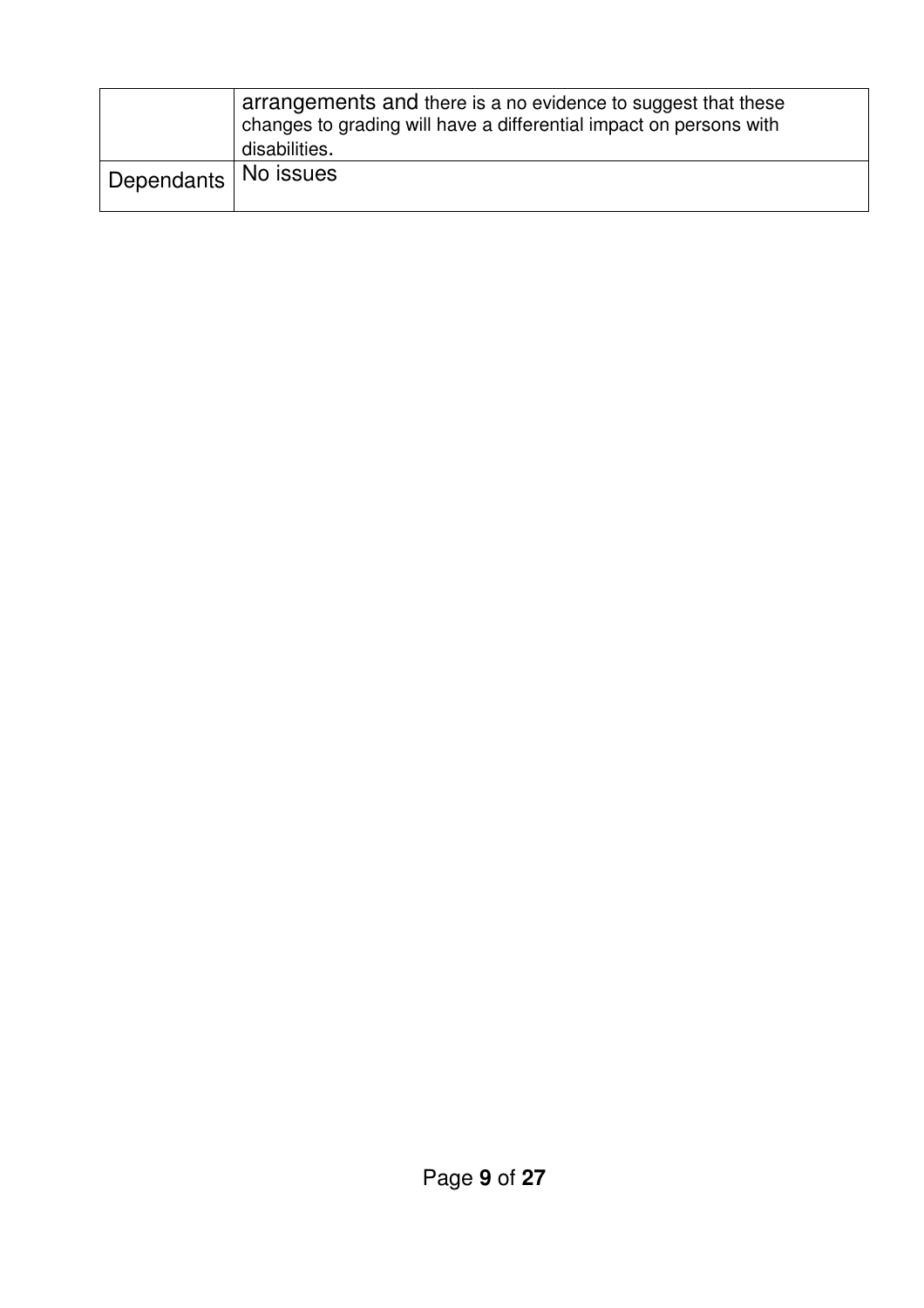|                        | arrangements and there is a no evidence to suggest that these<br>changes to grading will have a differential impact on persons with<br>disabilities. |
|------------------------|------------------------------------------------------------------------------------------------------------------------------------------------------|
| Dependants   No issues |                                                                                                                                                      |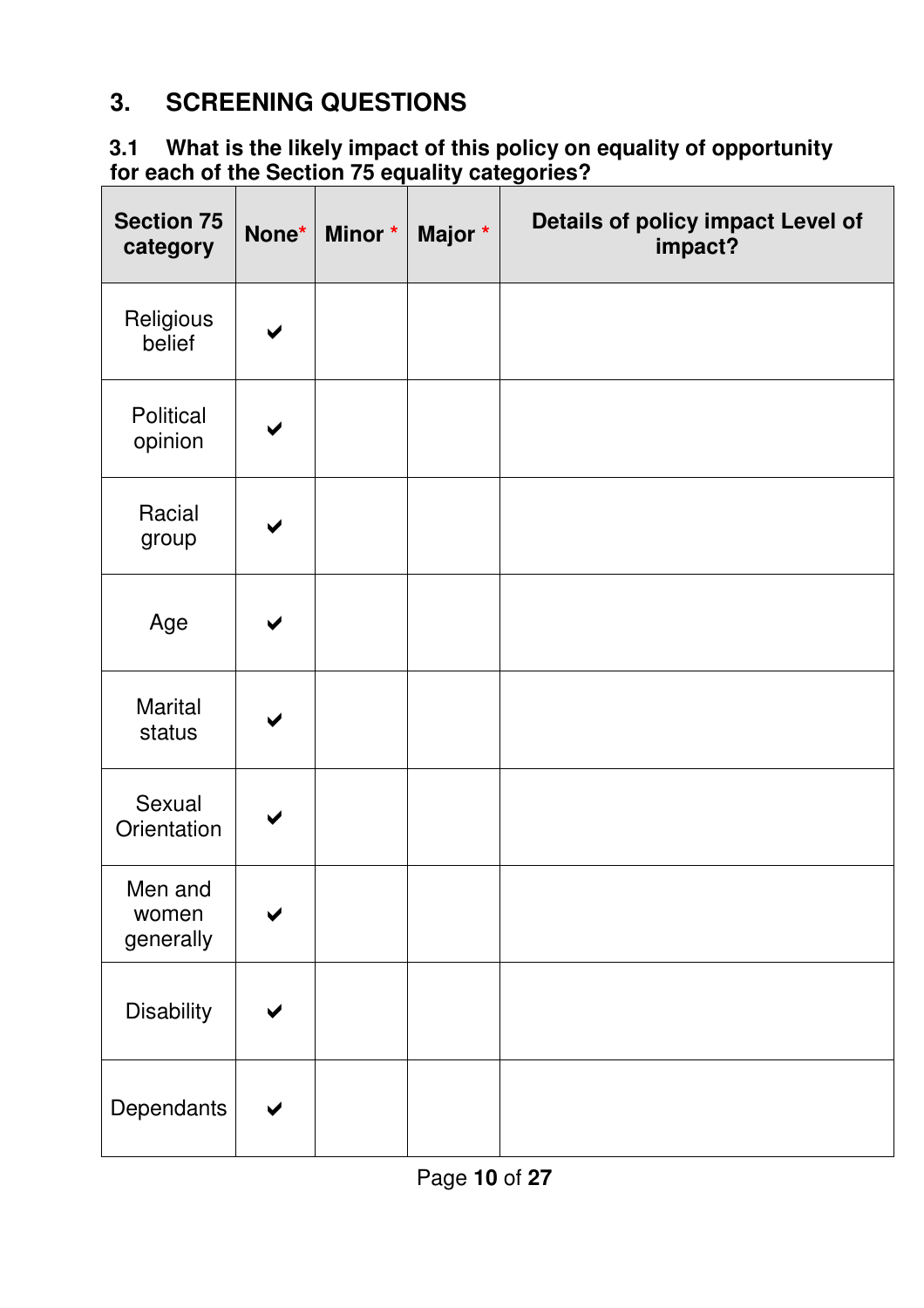## **3. SCREENING QUESTIONS**

### **3.1 What is the likely impact of this policy on equality of opportunity for each of the Section 75 equality categories?**

| <b>Section 75</b><br>category | None*                | Minor * | Major * | Details of policy impact Level of<br>impact? |
|-------------------------------|----------------------|---------|---------|----------------------------------------------|
| Religious<br>belief           |                      |         |         |                                              |
| Political<br>opinion          | ✔                    |         |         |                                              |
| Racial<br>group               | $\blacktriangledown$ |         |         |                                              |
| Age                           | ✔                    |         |         |                                              |
| <b>Marital</b><br>status      |                      |         |         |                                              |
| Sexual<br>Orientation         |                      |         |         |                                              |
| Men and<br>women<br>generally | ✔                    |         |         |                                              |
| <b>Disability</b>             |                      |         |         |                                              |
| Dependants                    | ✔                    |         |         |                                              |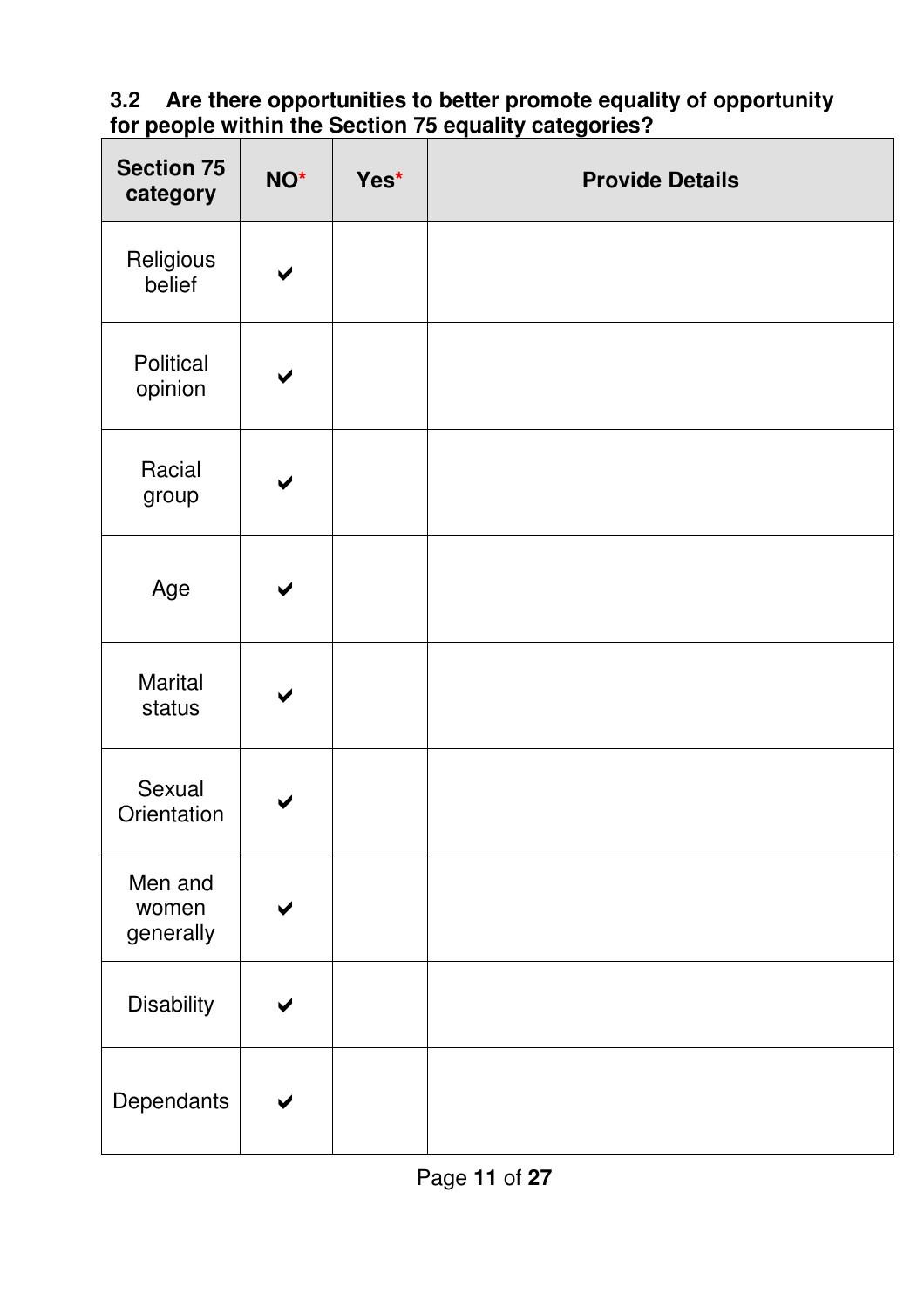#### **3.2 Are there opportunities to better promote equality of opportunity for people within the Section 75 equality categories?**

| <b>Section 75</b><br>category | NO*                  | Yes* | <b>Provide Details</b> |
|-------------------------------|----------------------|------|------------------------|
| Religious<br>belief           | $\blacktriangledown$ |      |                        |
| Political<br>opinion          | $\blacktriangledown$ |      |                        |
| Racial<br>group               |                      |      |                        |
| Age                           | ✔                    |      |                        |
| Marital<br>status             | ✔                    |      |                        |
| Sexual<br>Orientation         | ✔                    |      |                        |
| Men and<br>women<br>generally | ✔                    |      |                        |
| <b>Disability</b>             |                      |      |                        |
| Dependants                    |                      |      |                        |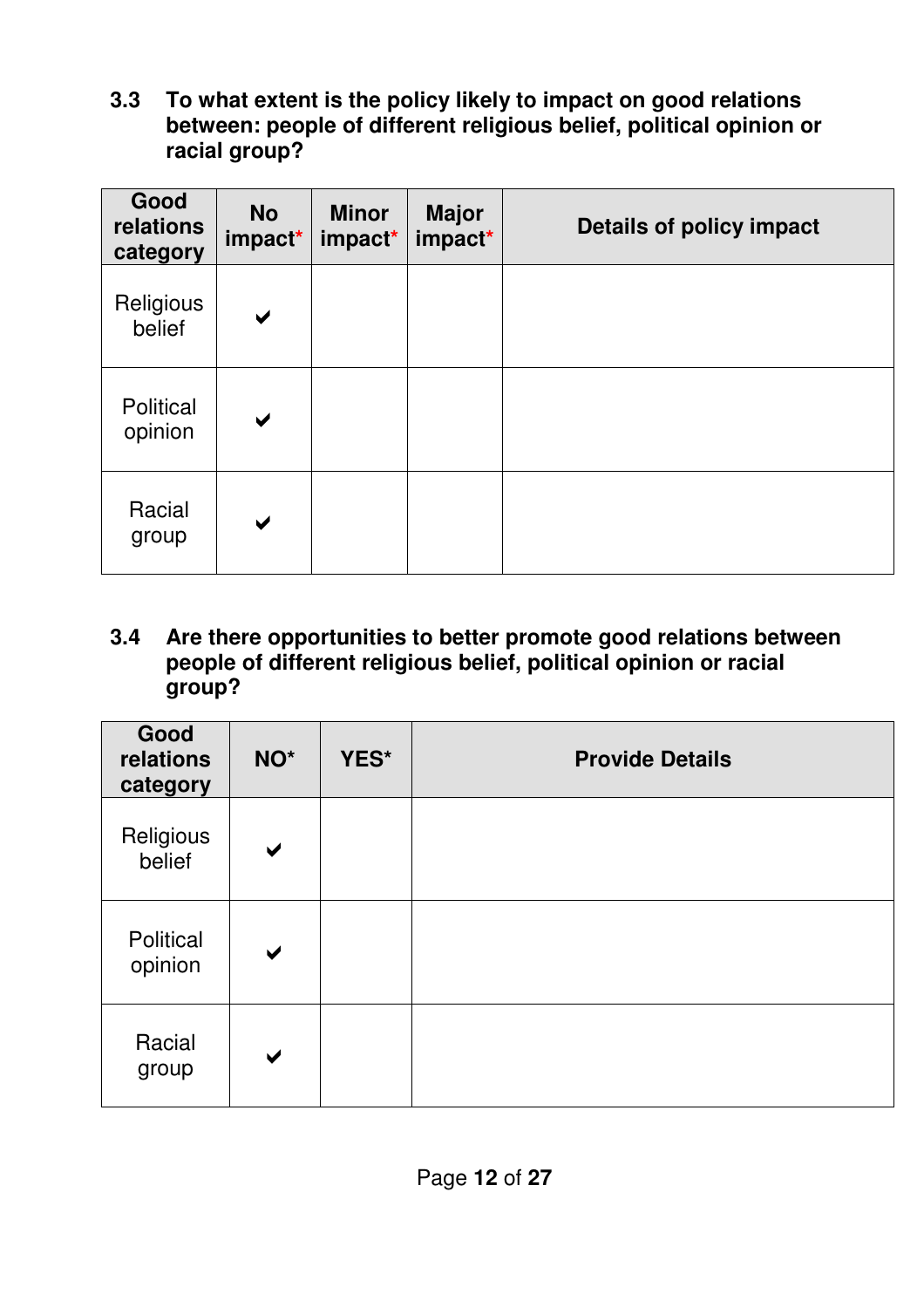3.3  **between: people of different religious belief, political opinion or 3.3 To what extent is the policy likely to impact on good relations racial group?** 

| Good<br>relations<br>category | <b>No</b><br>impact* | <b>Minor</b><br>impact* | <b>Major</b><br>impact* | <b>Details of policy impact</b> |
|-------------------------------|----------------------|-------------------------|-------------------------|---------------------------------|
| Religious<br>belief           | $\blacktriangledown$ |                         |                         |                                 |
| Political<br>opinion          | $\blacktriangledown$ |                         |                         |                                 |
| Racial<br>group               | $\blacktriangledown$ |                         |                         |                                 |

 **people of different religious belief, political opinion or racial 3.4 Are there opportunities to better promote good relations between group?** 

| Good<br>relations<br>category | NO <sup>*</sup>      | YES* | <b>Provide Details</b> |
|-------------------------------|----------------------|------|------------------------|
| Religious<br>belief           | $\blacktriangledown$ |      |                        |
| <b>Political</b><br>opinion   | $\blacktriangledown$ |      |                        |
| Racial<br>group               | $\blacktriangledown$ |      |                        |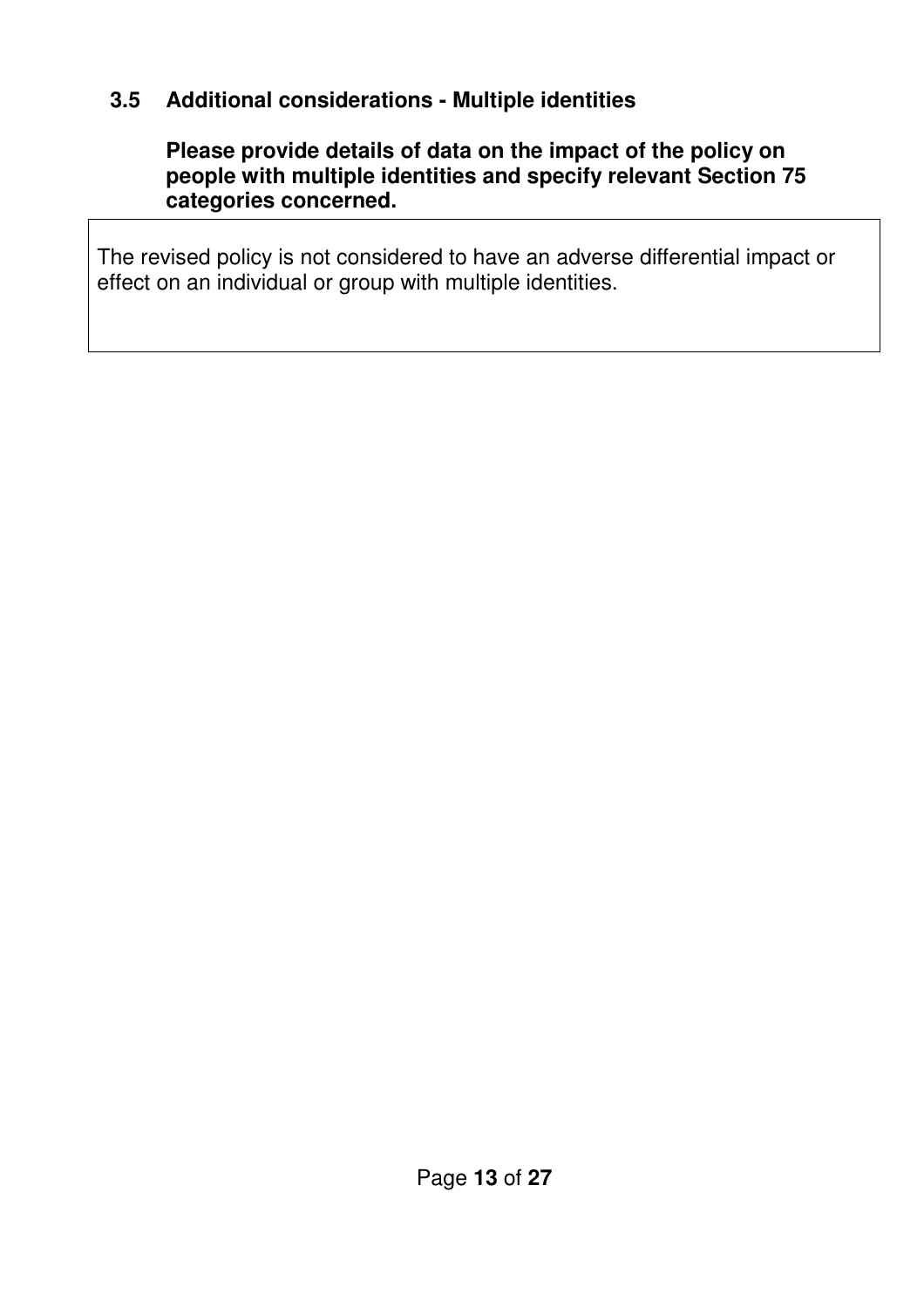### **3.5 Additional considerations - Multiple identities**

 **Please provide details of data on the impact of the policy on people with multiple identities and specify relevant Section 75 categories concerned.** 

 The revised policy is not considered to have an adverse differential impact or effect on an individual or group with multiple identities.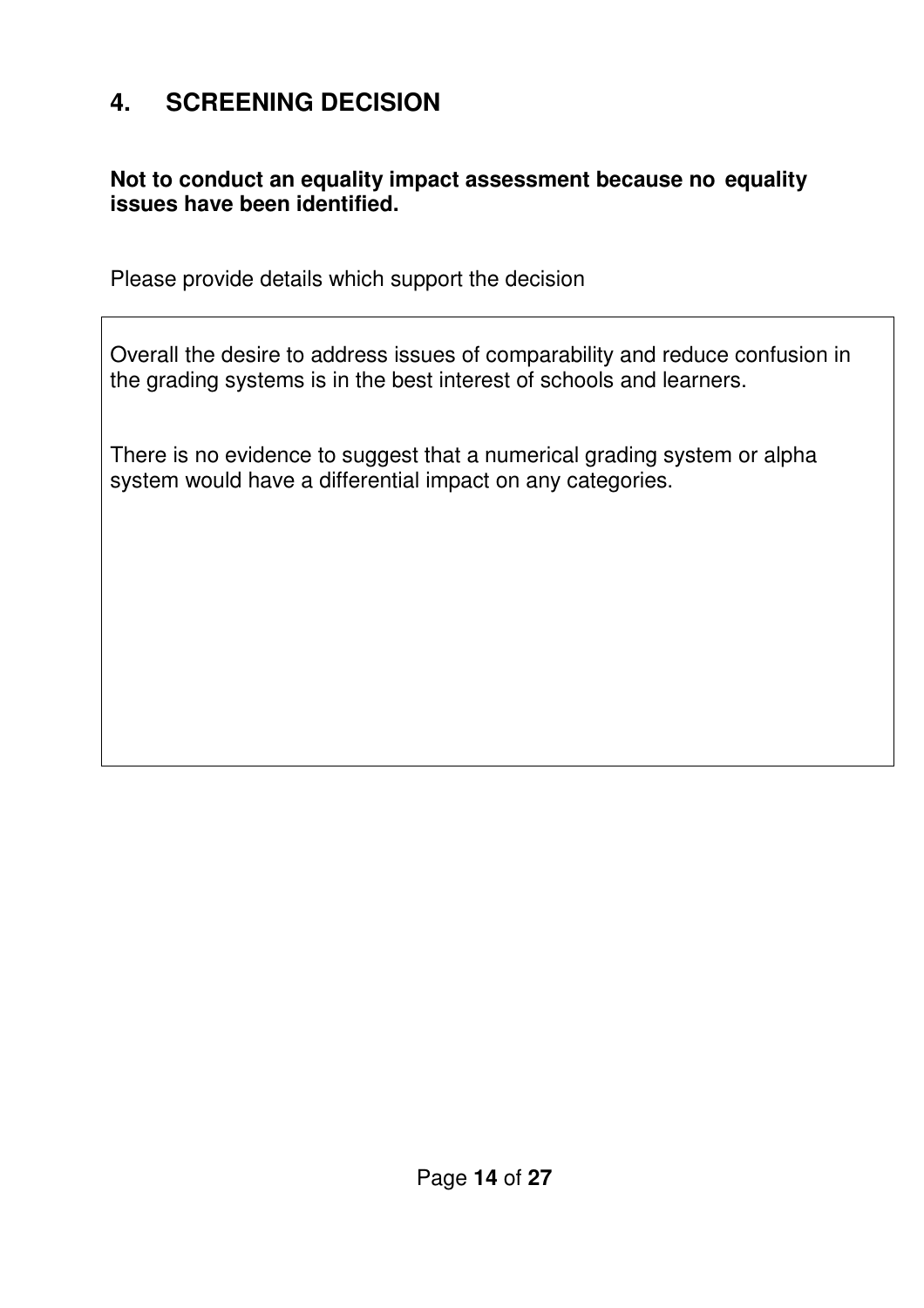#### **4. SCREENING DECISION**

### **Not to conduct an equality impact assessment because no equality issues have been identified.**

Please provide details which support the decision

 Overall the desire to address issues of comparability and reduce confusion in the grading systems is in the best interest of schools and learners.

 There is no evidence to suggest that a numerical grading system or alpha system would have a differential impact on any categories.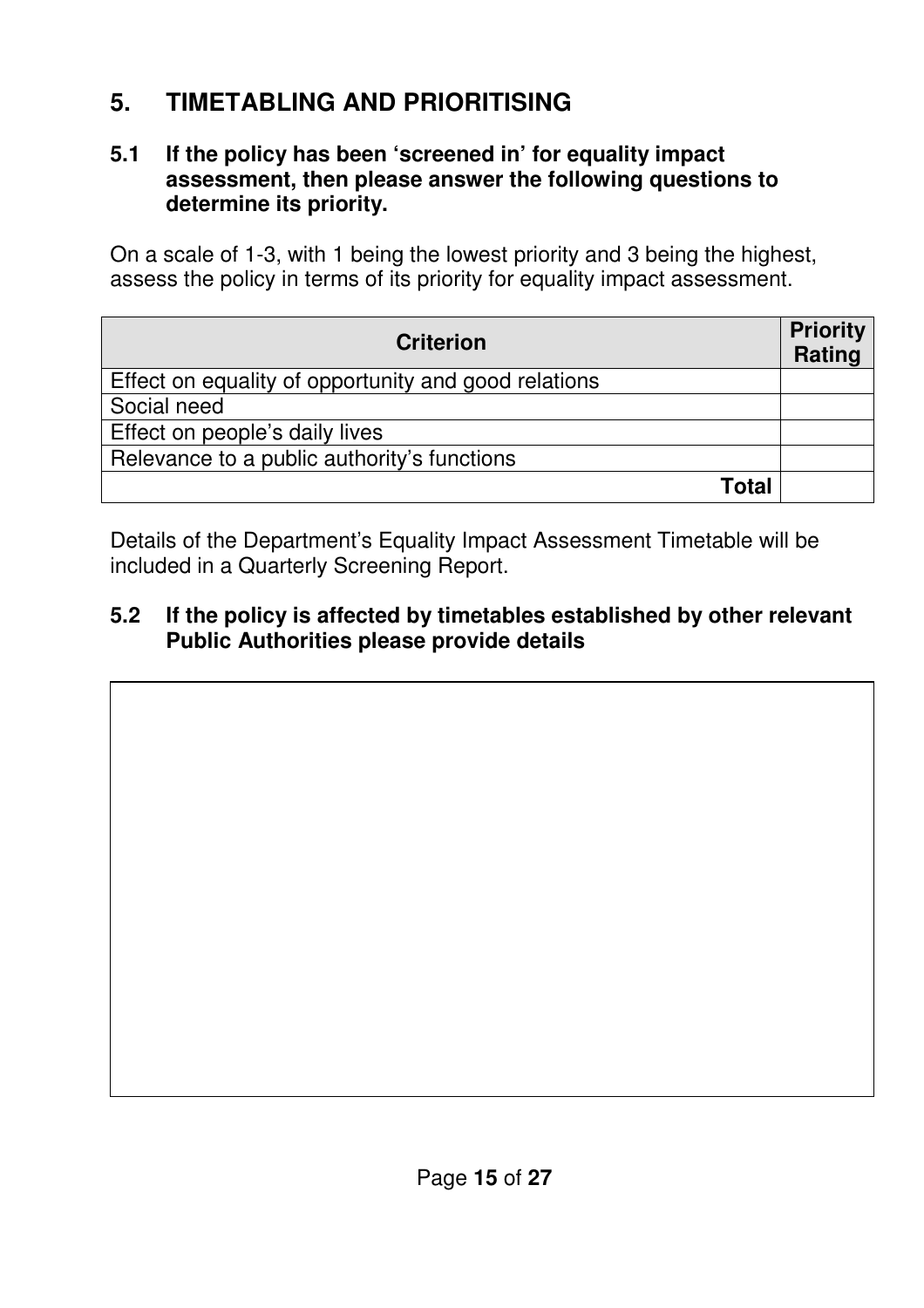## **5. TIMETABLING AND PRIORITISING**

#### **assessment, then please answer the following questions to determine its priority.**  If the policy has been 'screened in' for equality impact

 On a scale of 1-3, with 1 being the lowest priority and 3 being the highest, assess the policy in terms of its priority for equality impact assessment.

| <b>Criterion</b>                                     | <b>Priority</b><br>Rating |
|------------------------------------------------------|---------------------------|
| Effect on equality of opportunity and good relations |                           |
| Social need                                          |                           |
| Effect on people's daily lives                       |                           |
| Relevance to a public authority's functions          |                           |
| Total                                                |                           |

 Details of the Department's Equality Impact Assessment Timetable will be included in a Quarterly Screening Report.

#### **Public Authorities please provide details**  If the policy is affected by timetables established by other relevant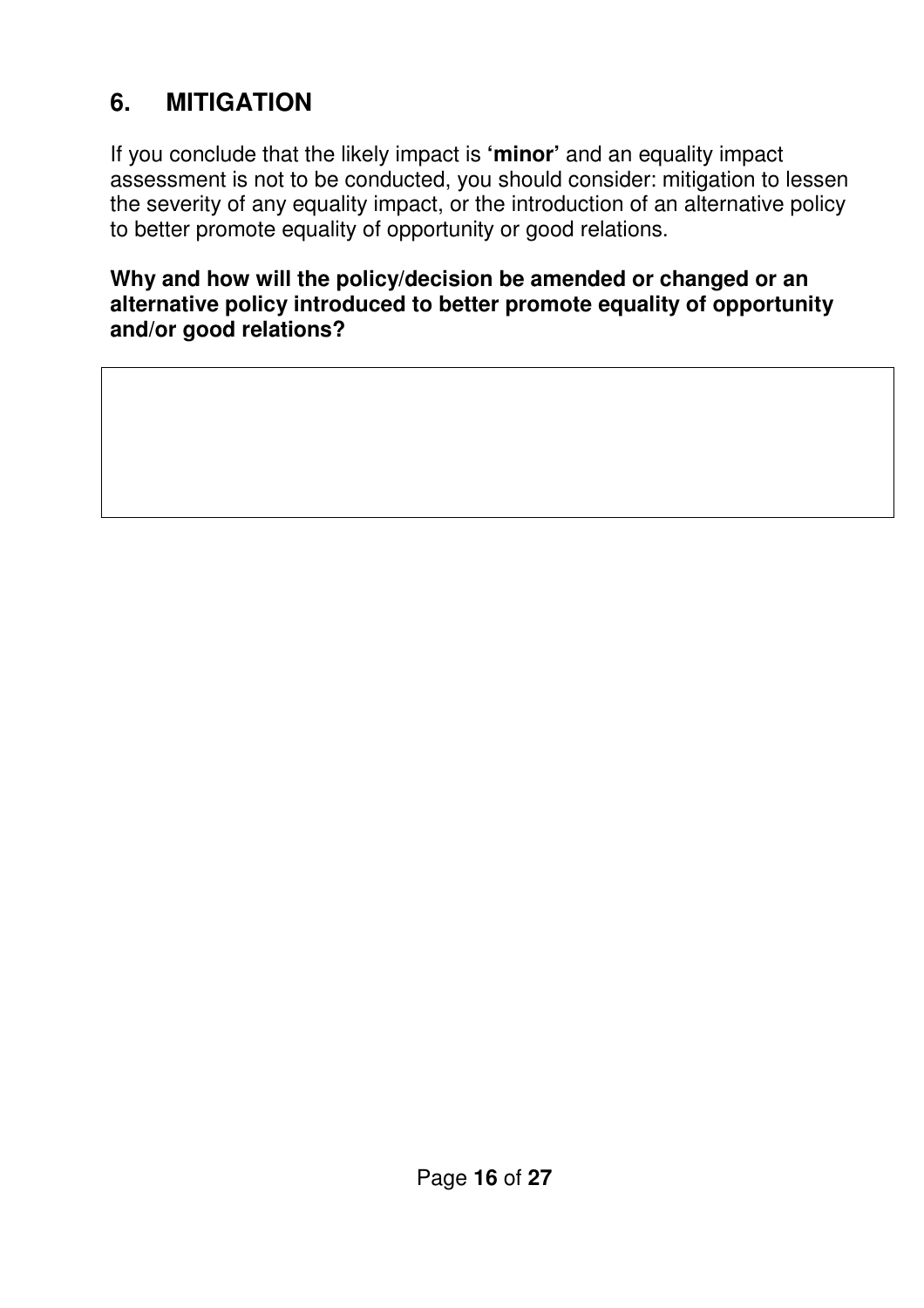## **6. MITIGATION**

 If you conclude that the likely impact is **'minor'** and an equality impact assessment is not to be conducted, you should consider: mitigation to lessen the severity of any equality impact, or the introduction of an alternative policy to better promote equality of opportunity or good relations.

 **Why and how will the policy/decision be amended or changed or an alternative policy introduced to better promote equality of opportunity and/or good relations?**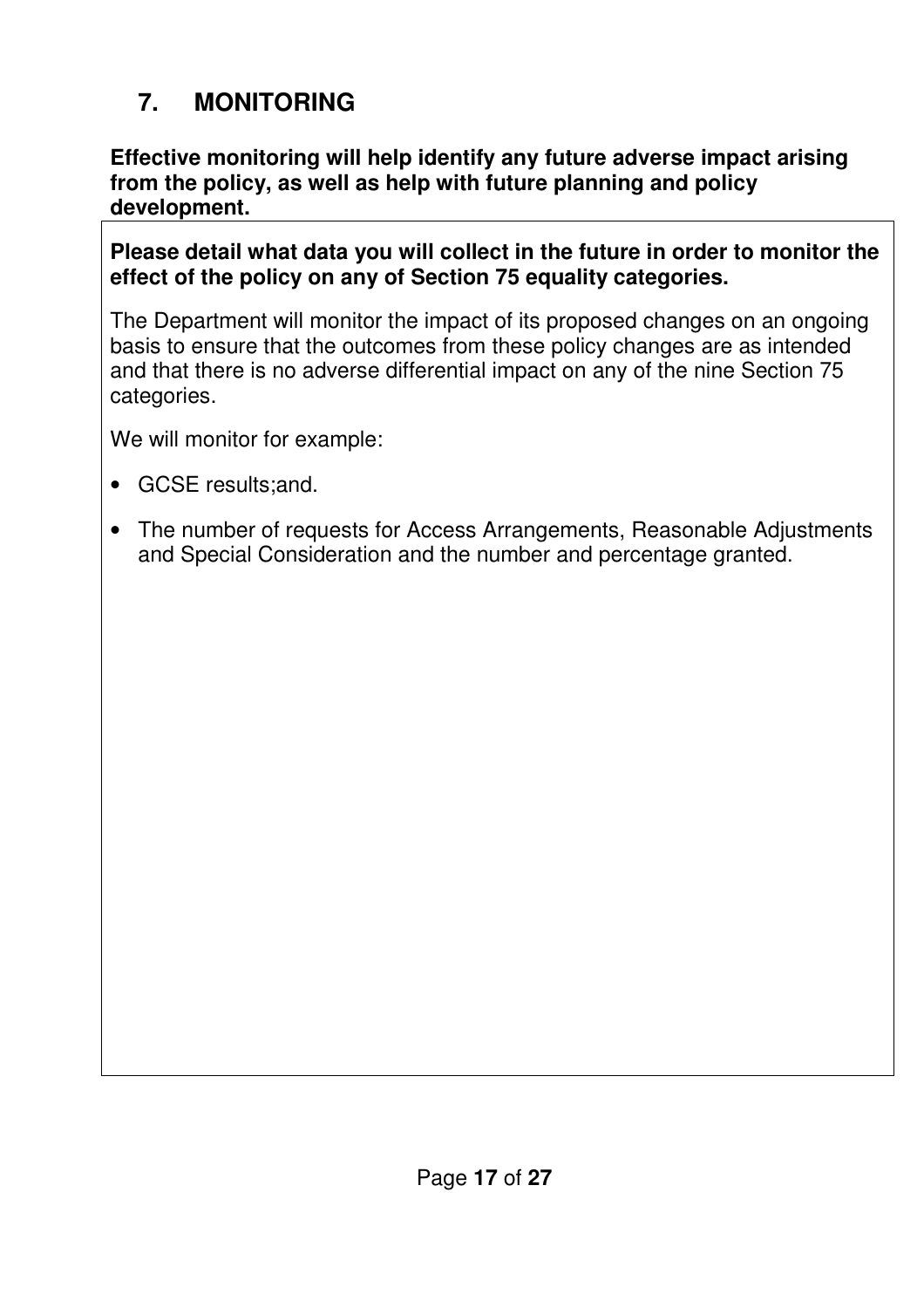## **7. MONITORING**

### **Effective monitoring will help identify any future adverse impact arising from the policy, as well as help with future planning and policy development.**

### **Please detail what data you will collect in the future in order to monitor the effect of the policy on any of Section 75 equality categories.**

 The Department will monitor the impact of its proposed changes on an ongoing basis to ensure that the outcomes from these policy changes are as intended and that there is no adverse differential impact on any of the nine Section 75 categories.

categories.<br>We will monitor for example:

- • GCSE results;and.
- The number of requests for Access Arrangements, Reasonable Adjustments and Special Consideration and the number and percentage granted.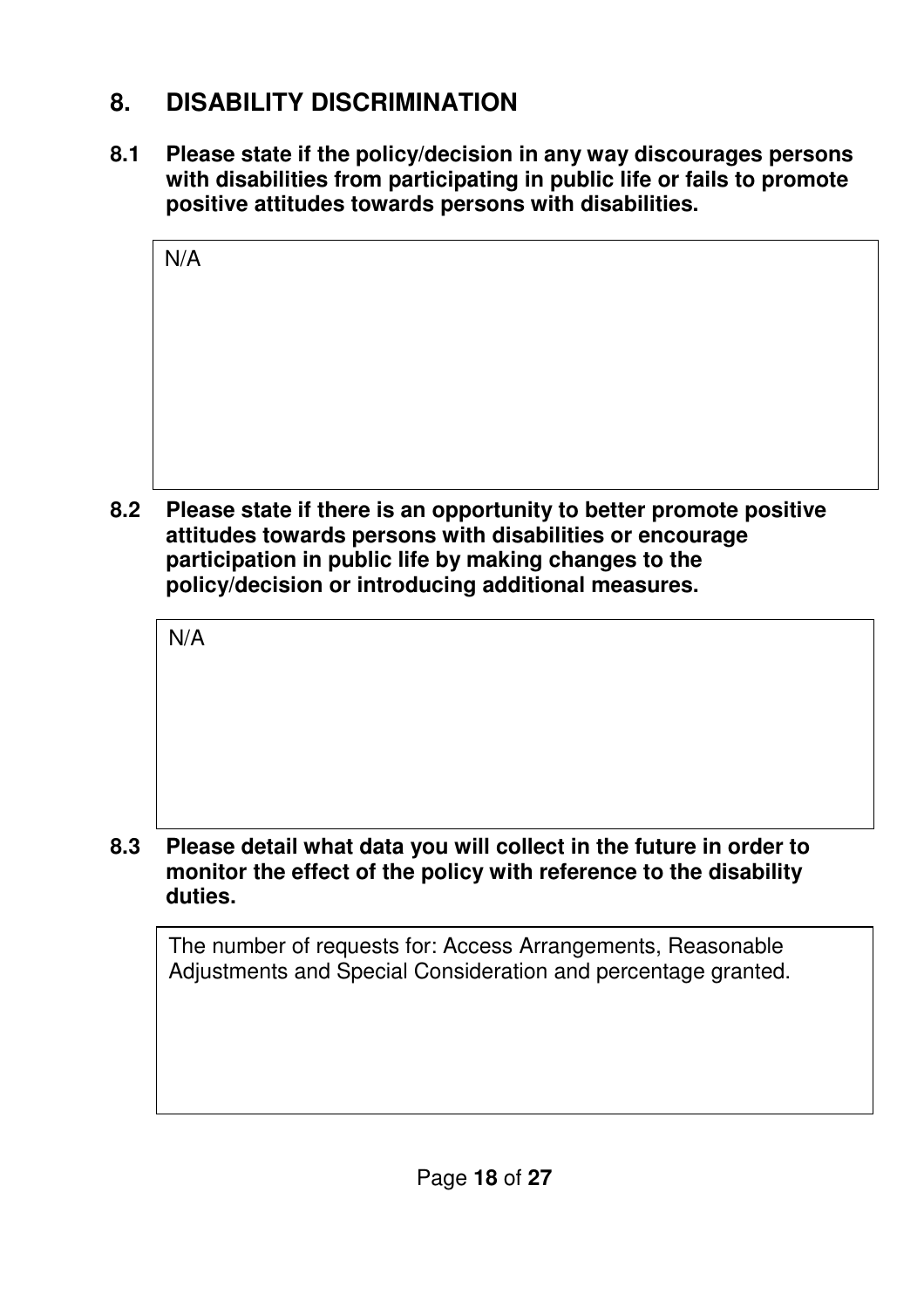## **8. DISABILITY DISCRIMINATION**

 **with disabilities from participating in public life or fails to promote positive attitudes towards persons with disabilities. 8.1 Please state if the policy/decision in any way discourages persons** 

| N/A |                                                                    |  |  |
|-----|--------------------------------------------------------------------|--|--|
|     |                                                                    |  |  |
|     |                                                                    |  |  |
|     |                                                                    |  |  |
|     |                                                                    |  |  |
|     |                                                                    |  |  |
|     | Please state if there is an opportunity to better promote positive |  |  |

 **attitudes towards persons with disabilities or encourage participation in public life by making changes to the policy/decision or introducing additional measures. 8.2 Please state if there is an opportunity to better promote positive** 

N/A

 **monitor the effect of the policy with reference to the disability 8.3 Please detail what data you will collect in the future in order to duties.** 

 The number of requests for: Access Arrangements, Reasonable Adjustments and Special Consideration and percentage granted.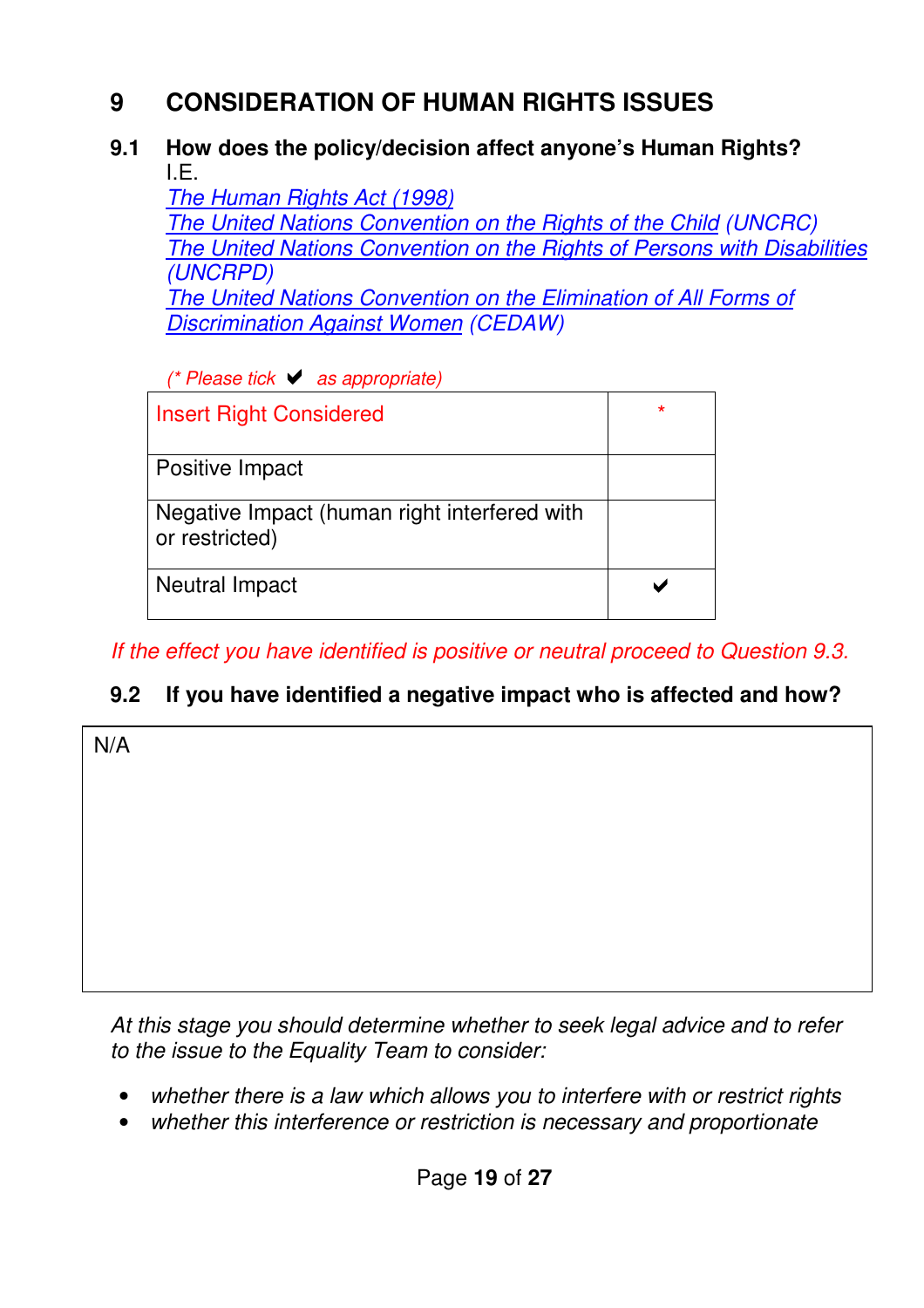## **9 CONSIDERATION OF HUMAN RIGHTS ISSUES**

#### **9.1 How does the policy/decision affect anyone's Human Rights?**  I.E.

 The Human Rights Act (1998) The United Nations Convention on the Rights of the Child (UNCRC) The United Nations Convention on the Rights of Persons with Disabilities The United Nations Convention on the Elimination of All Forms of **Discrimination Against Women (CEDAW)** (UNCRPD)

(\* Please tick ↓ as appropriate)

| <b>Insert Right Considered</b>                                 | $\star$ |
|----------------------------------------------------------------|---------|
| Positive Impact                                                |         |
| Negative Impact (human right interfered with<br>or restricted) |         |
| Neutral Impact                                                 |         |

If the effect you have identified is positive or neutral proceed to Question 9.3.

#### **9.2 If you have identified a negative impact who is affected and how?**

N/A

 At this stage you should determine whether to seek legal advice and to refer to the issue to the Equality Team to consider:

- whether there is a law which allows you to interfere with or restrict rights
- whether this interference or restriction is necessary and proportionate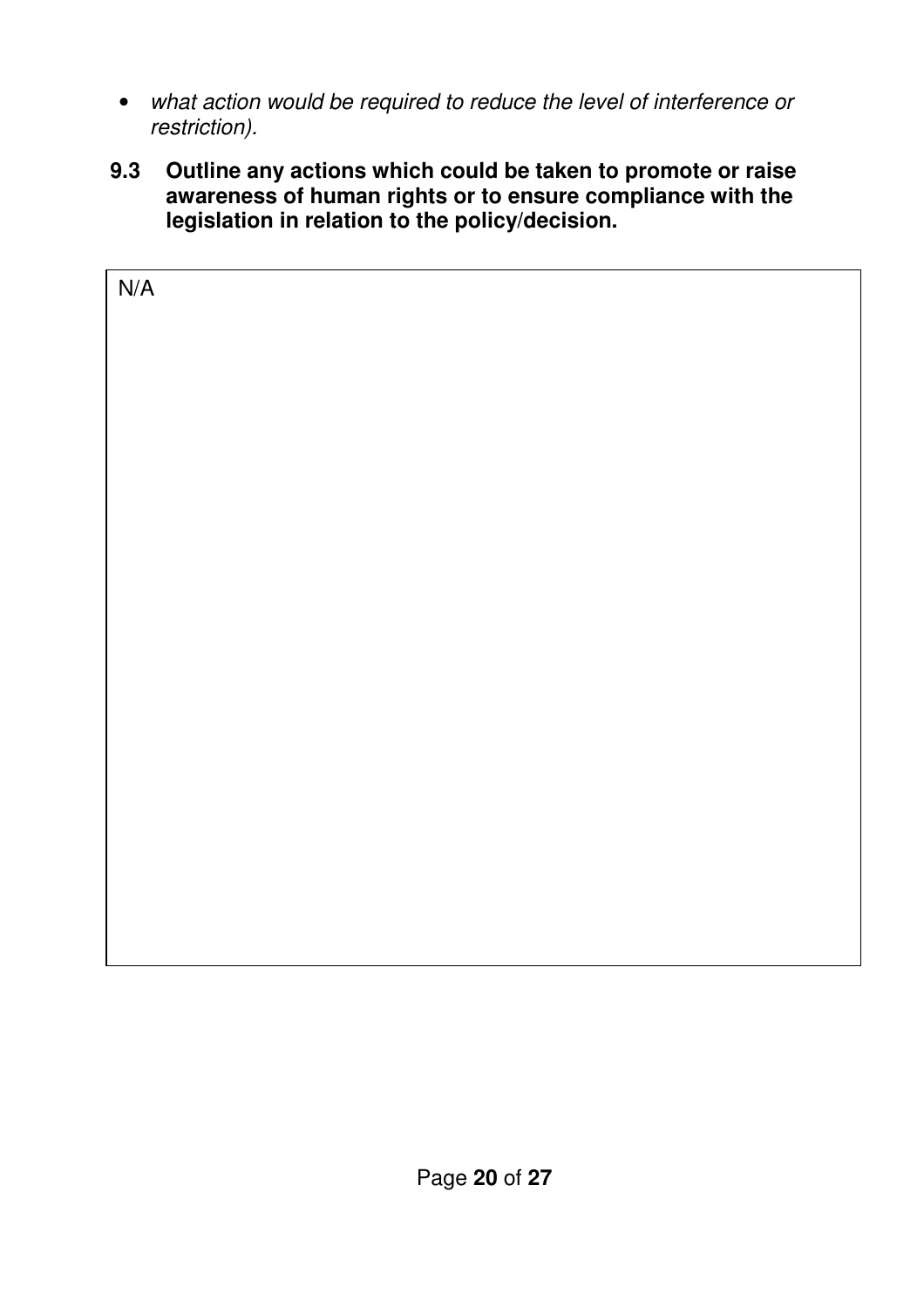- what action would be required to reduce the level of interference or restriction).
- **9.3 Outline any actions which could be taken to promote or raise awareness of human rights or to ensure compliance with the legislation in relation to the policy/decision.**

| N/A |  |  |
|-----|--|--|
|     |  |  |
|     |  |  |
|     |  |  |
|     |  |  |
|     |  |  |
|     |  |  |
|     |  |  |
|     |  |  |
|     |  |  |
|     |  |  |
|     |  |  |
|     |  |  |
|     |  |  |
|     |  |  |
|     |  |  |
|     |  |  |
|     |  |  |
|     |  |  |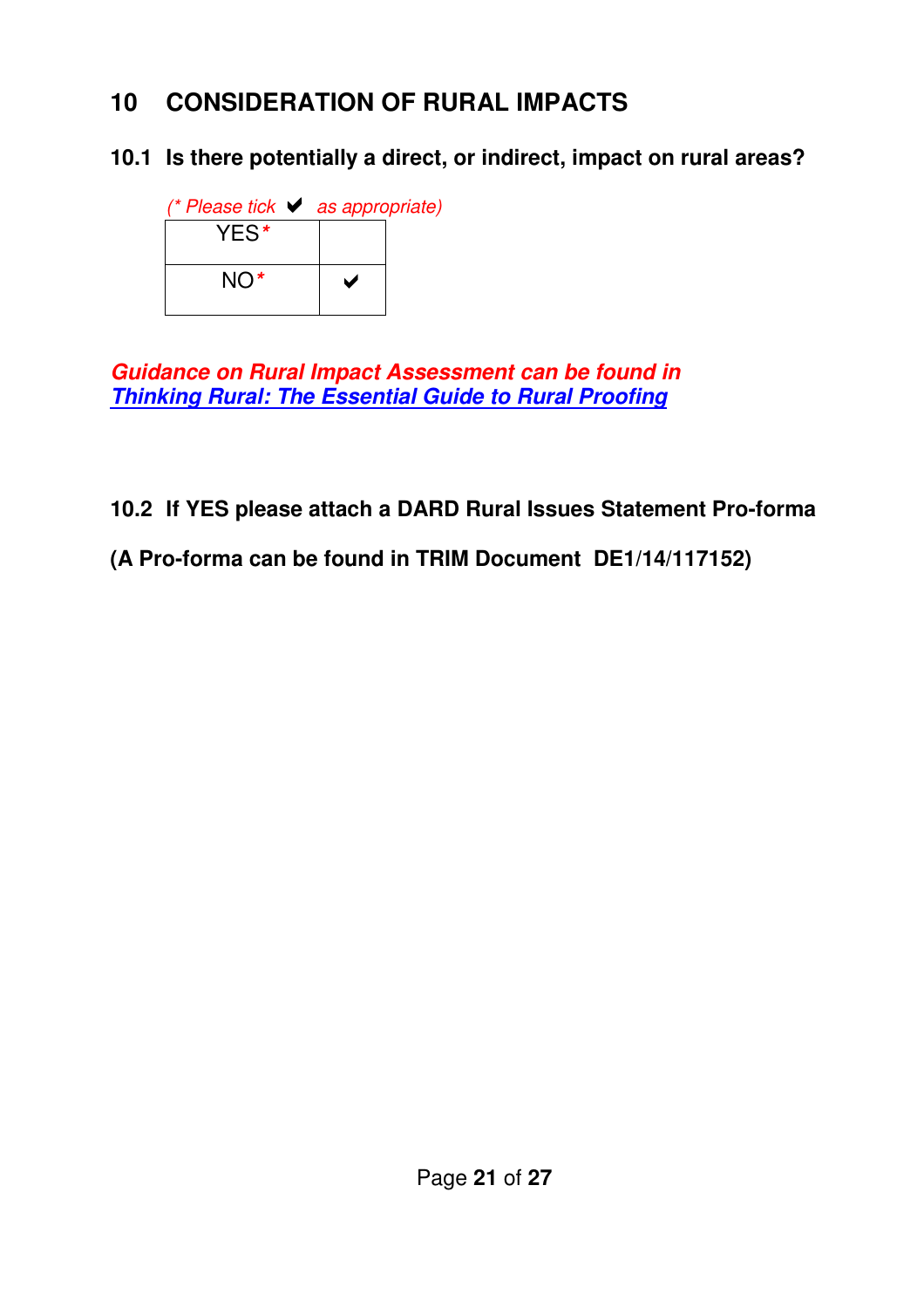## **10 CONSIDERATION OF RURAL IMPACTS**

 **10.1 Is there potentially a direct, or indirect, impact on rural areas?** 

| $($ <i>*</i> Please tick $\vee$ as appropriate) |  |
|-------------------------------------------------|--|
| YES*                                            |  |
| $NO^*$                                          |  |

 **Guidance on Rural Impact Assessment can be found in Thinking Rural: The Essential Guide to Rural Proofing** 

## **10.2 If YES please attach a DARD Rural Issues Statement Pro-forma**

 **(A Pro-forma can be found in TRIM Document DE1/14/117152)**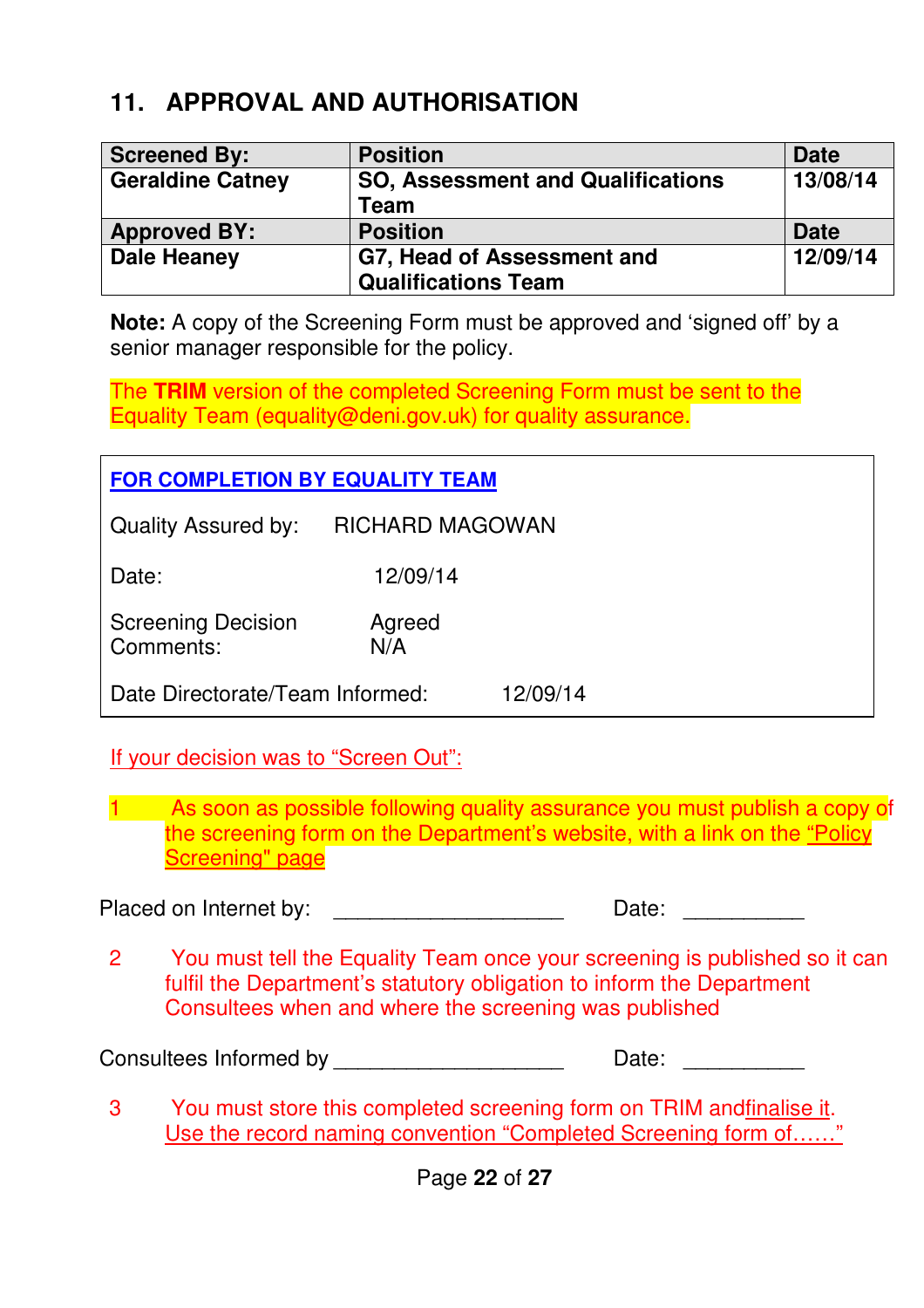## **11. APPROVAL AND AUTHORISATION**

| <b>Screened By:</b>     | <b>Position</b>                          | <b>Date</b> |
|-------------------------|------------------------------------------|-------------|
| <b>Geraldine Catney</b> | <b>SO. Assessment and Qualifications</b> | 13/08/14    |
|                         | Team                                     |             |
| <b>Approved BY:</b>     | <b>Position</b>                          | <b>Date</b> |
| <b>Dale Heaney</b>      | G7, Head of Assessment and               | 12/09/14    |
|                         | <b>Qualifications Team</b>               |             |

 **Note:** A copy of the Screening Form must be approved and 'signed off' by a senior manager responsible for the policy.

 The **TRIM** version of the completed Screening Form must be sent to the Equality Team (equality@deni.gov.uk) for quality assurance.

| <b>FOR COMPLETION BY EQUALITY TEAM</b> |                        |          |  |
|----------------------------------------|------------------------|----------|--|
| <b>Quality Assured by:</b>             | <b>RICHARD MAGOWAN</b> |          |  |
| Date:                                  | 12/09/14               |          |  |
| <b>Screening Decision</b><br>Comments: | Agreed<br>N/A          |          |  |
| Date Directorate/Team Informed:        |                        | 12/09/14 |  |

### If your decision was to "Screen Out":

1 As soon as possible following quality assurance you must publish a copy of the screening form on the Department's website, with a link on the <u>"Policy</u> Screening" page

Placed on Internet by: Placed on Internet by: \_\_\_\_\_\_\_\_\_\_\_\_\_\_\_\_\_\_\_ Date: \_\_\_\_\_\_\_\_\_\_

2 fulfil the Department's statutory obligation to inform the Department Consultees when and where the screening was published You must tell the Equality Team once your screening is published so it can

| Consultees Informed by | Date: |  |
|------------------------|-------|--|
|------------------------|-------|--|

3 Use the record naming convention "Completed Screening form of……" You must store this completed screening form on TRIM and finalise it.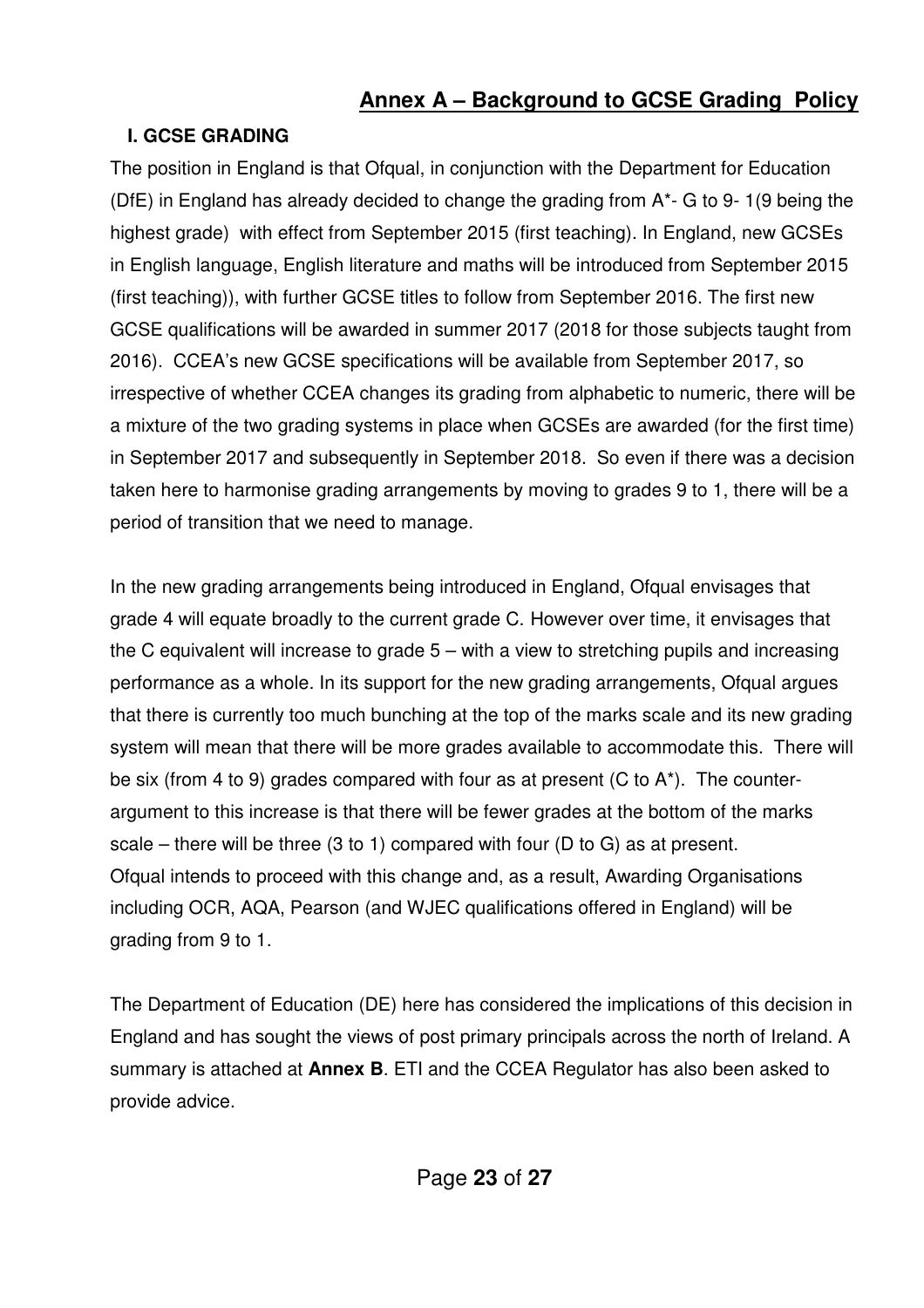### **I. GCSE GRADING**

 The position in England is that Ofqual, in conjunction with the Department for Education (DfE) in England has already decided to change the grading from A\*- G to 9- 1(9 being the highest grade) with effect from September 2015 (first teaching). In England, new GCSEs in English language, English literature and maths will be introduced from September 2015 (first teaching)), with further GCSE titles to follow from September 2016. The first new GCSE qualifications will be awarded in summer 2017 (2018 for those subjects taught from 2016). CCEA's new GCSE specifications will be available from September 2017, so irrespective of whether CCEA changes its grading from alphabetic to numeric, there will be a mixture of the two grading systems in place when GCSEs are awarded (for the first time) in September 2017 and subsequently in September 2018. So even if there was a decision taken here to harmonise grading arrangements by moving to grades 9 to 1, there will be a period of transition that we need to manage.

 In the new grading arrangements being introduced in England, Ofqual envisages that grade 4 will equate broadly to the current grade C. However over time, it envisages that the C equivalent will increase to grade 5 – with a view to stretching pupils and increasing performance as a whole. In its support for the new grading arrangements, Ofqual argues that there is currently too much bunching at the top of the marks scale and its new grading system will mean that there will be more grades available to accommodate this. There will be six (from 4 to 9) grades compared with four as at present (C to A\*). The counter- argument to this increase is that there will be fewer grades at the bottom of the marks scale – there will be three (3 to 1) compared with four (D to G) as at present. Ofqual intends to proceed with this change and, as a result, Awarding Organisations including OCR, AQA, Pearson (and WJEC qualifications offered in England) will be grading from 9 to 1.

 The Department of Education (DE) here has considered the implications of this decision in England and has sought the views of post primary principals across the north of Ireland. A summary is attached at **Annex B**. ETI and the CCEA Regulator has also been asked to provide advice.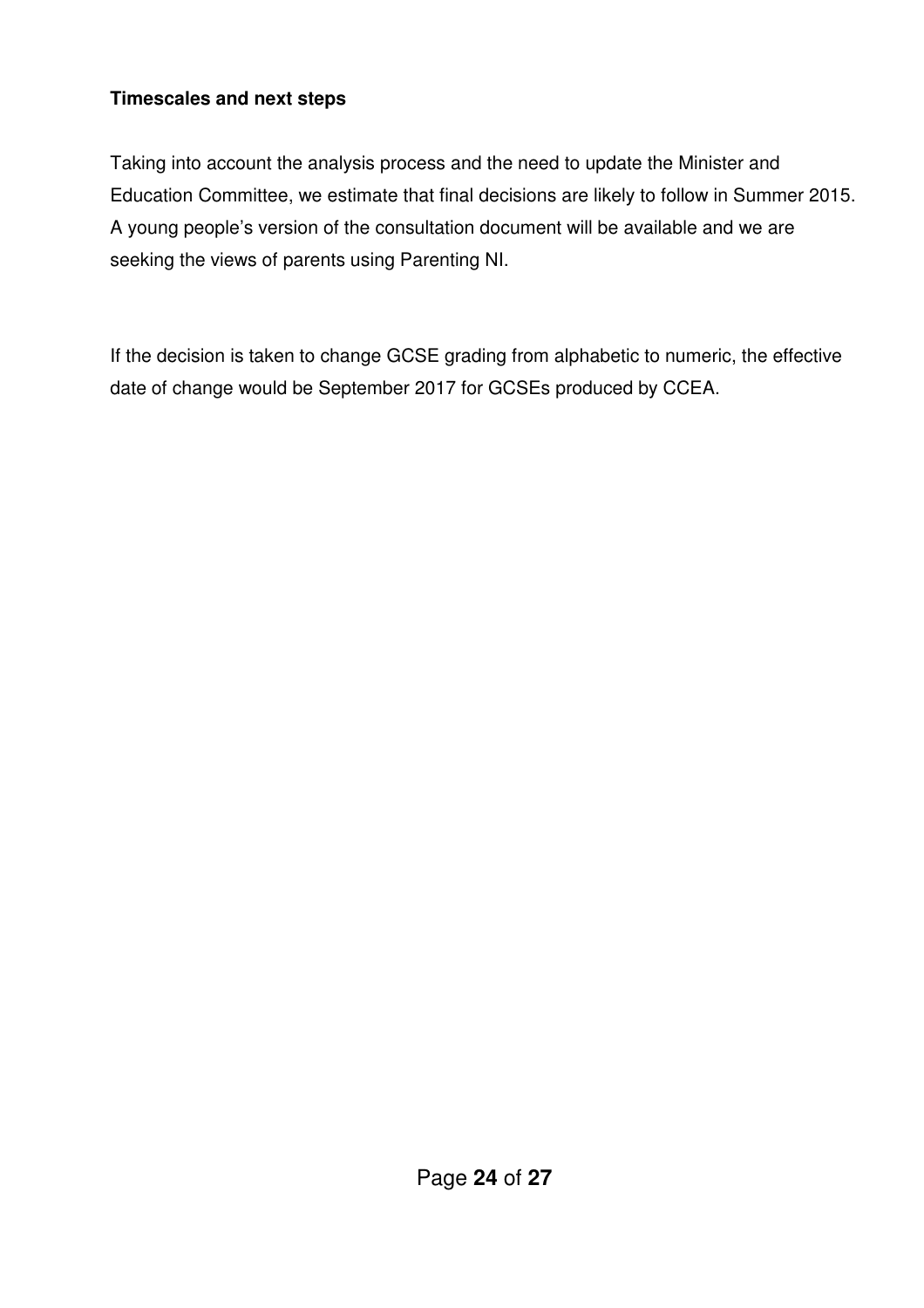### **Timescales and next steps**

 Taking into account the analysis process and the need to update the Minister and Education Committee, we estimate that final decisions are likely to follow in Summer 2015. A young people's version of the consultation document will be available and we are seeking the views of parents using Parenting NI.

 If the decision is taken to change GCSE grading from alphabetic to numeric, the effective date of change would be September 2017 for GCSEs produced by CCEA.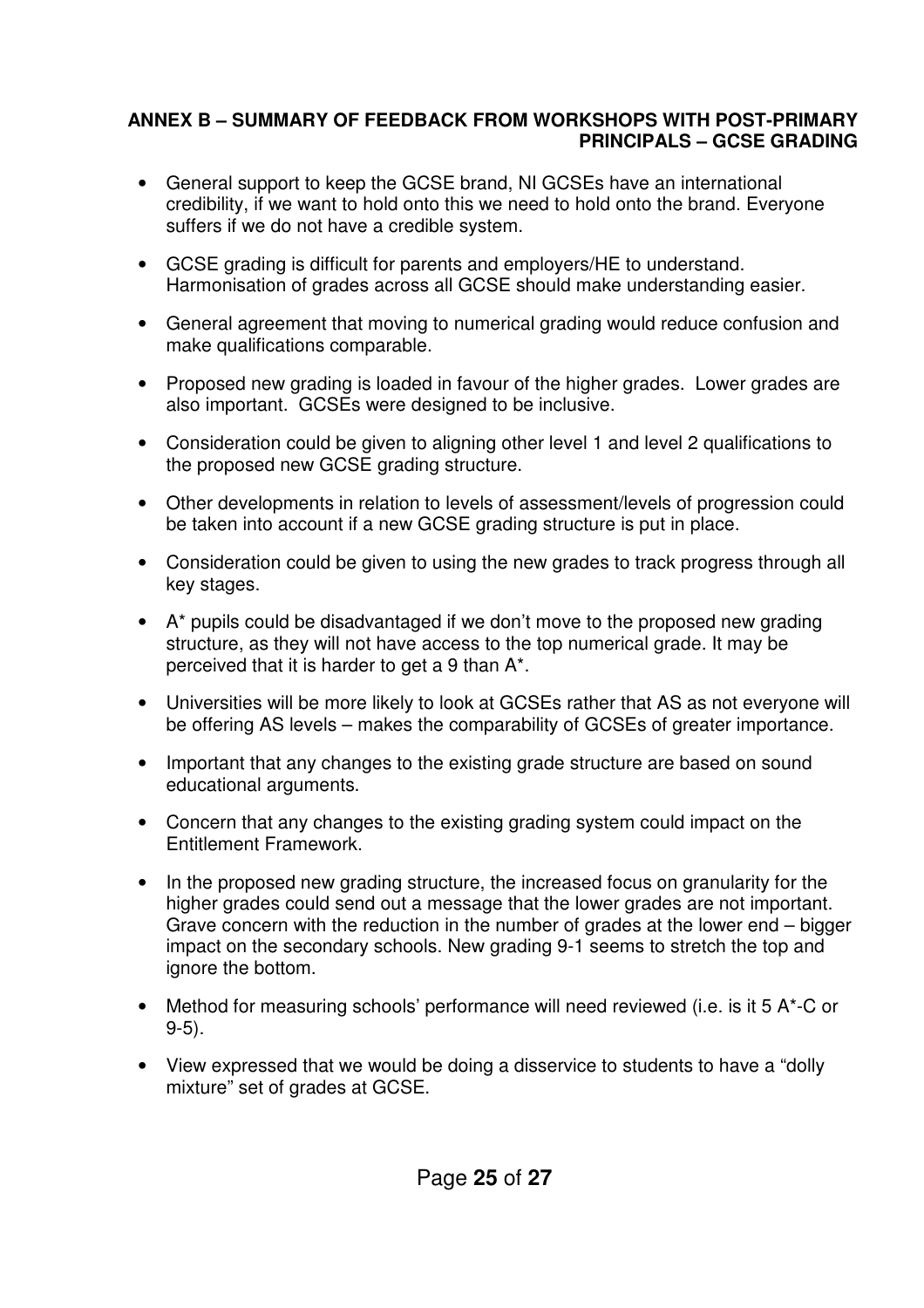#### **ANNEX B – SUMMARY OF FEEDBACK FROM WORKSHOPS WITH POST-PRIMARY PRINCIPALS – GCSE GRADING**

- General support to keep the GCSE brand, NI GCSEs have an international credibility, if we want to hold onto this we need to hold onto the brand. Everyone suffers if we do not have a credible system.
- • GCSE grading is difficult for parents and employers/HE to understand. Harmonisation of grades across all GCSE should make understanding easier.
- • General agreement that moving to numerical grading would reduce confusion and make qualifications comparable.
- Proposed new grading is loaded in favour of the higher grades. Lower grades are also important. GCSEs were designed to be inclusive.
- Consideration could be given to aligning other level 1 and level 2 qualifications to the proposed new GCSE grading structure.
- Other developments in relation to levels of assessment/levels of progression could be taken into account if a new GCSE grading structure is put in place.
- Consideration could be given to using the new grades to track progress through all key stages.
- A\* pupils could be disadvantaged if we don't move to the proposed new grading structure, as they will not have access to the top numerical grade. It may be perceived that it is harder to get a 9 than A\*.
- Universities will be more likely to look at GCSEs rather that AS as not everyone will be offering AS levels – makes the comparability of GCSEs of greater importance.
- Important that any changes to the existing grade structure are based on sound educational arguments.
- Concern that any changes to the existing grading system could impact on the Entitlement Framework.
- higher grades could send out a message that the lower grades are not important. Grave concern with the reduction in the number of grades at the lower end – bigger impact on the secondary schools. New grading 9-1 seems to stretch the top and ignore the bottom. • In the proposed new grading structure, the increased focus on granularity for the
- Method for measuring schools' performance will need reviewed (i.e. is it 5 A\*-C or 9-5).
- View expressed that we would be doing a disservice to students to have a "dolly mixture" set of grades at GCSE.